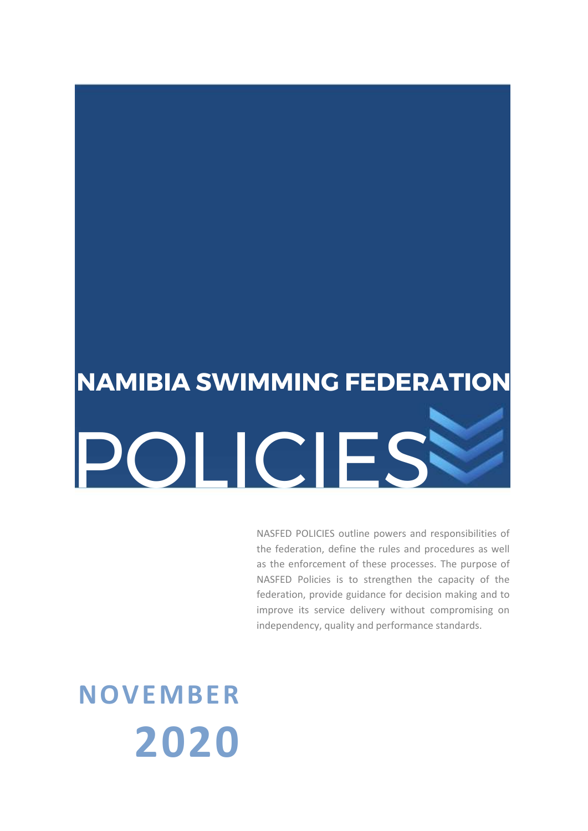# **NAMIBIA SWIMMING FEDERATION** POLICIES

NASFED POLICIES outline powers and responsibilities of the federation, define the rules and procedures as well as the enforcement of these processes. The purpose of NASFED Policies is to strengthen the capacity of the federation, provide guidance for decision making and to improve its service delivery without compromising on independency, quality and performance standards.

# **NOVEMBER 2020**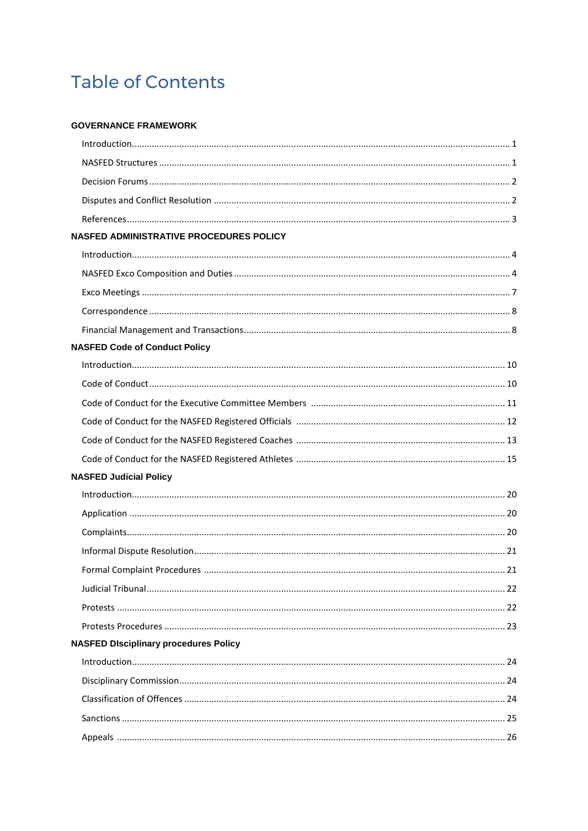# **Table of Contents**

# **GOVERNANCE FRAMEWORK**

| <b>NASFED ADMINISTRATIVE PROCEDURES POLICY</b> |  |
|------------------------------------------------|--|
|                                                |  |
|                                                |  |
|                                                |  |
|                                                |  |
|                                                |  |
| <b>NASFED Code of Conduct Policy</b>           |  |
|                                                |  |
|                                                |  |
|                                                |  |
|                                                |  |
|                                                |  |
|                                                |  |
| <b>NASFED Judicial Policy</b>                  |  |
|                                                |  |
|                                                |  |
|                                                |  |
|                                                |  |
|                                                |  |
|                                                |  |
|                                                |  |
|                                                |  |
| <b>NASFED Disciplinary procedures Policy</b>   |  |
|                                                |  |
|                                                |  |
|                                                |  |
|                                                |  |
|                                                |  |
|                                                |  |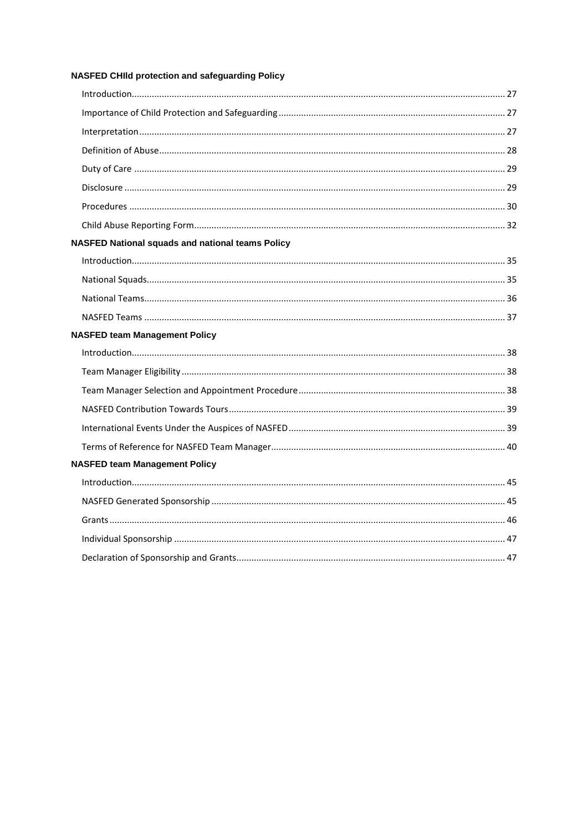| <b>NASFED CHIId protection and safeguarding Policy</b>  |  |
|---------------------------------------------------------|--|
|                                                         |  |
|                                                         |  |
|                                                         |  |
|                                                         |  |
|                                                         |  |
|                                                         |  |
|                                                         |  |
|                                                         |  |
| <b>NASFED National squads and national teams Policy</b> |  |
|                                                         |  |
|                                                         |  |
|                                                         |  |
|                                                         |  |
| <b>NASFED team Management Policy</b>                    |  |
|                                                         |  |
|                                                         |  |
|                                                         |  |
|                                                         |  |
|                                                         |  |
|                                                         |  |
|                                                         |  |
| <b>NASFED team Management Policy</b>                    |  |
|                                                         |  |
|                                                         |  |
|                                                         |  |
|                                                         |  |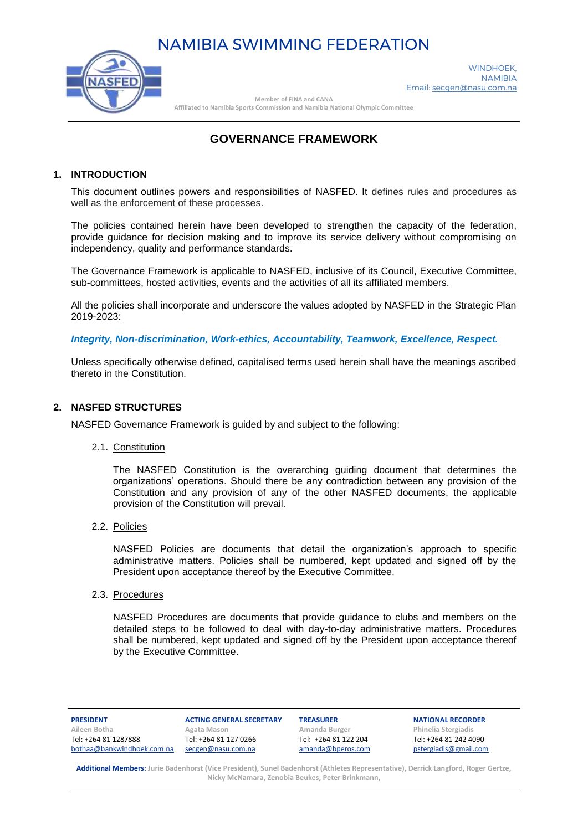# NAMIBIA SWIMMING FEDERATION



Email[: secgen@nasu.com.na](mailto:secgen@nasu.com.na) **Member of FINA and CANA Affiliated to Namibia Sports Commission and Namibia National Olympic Committee**

WINDHOEK, NAMIBIA

# **GOVERNANCE FRAMEWORK**

# **1. INTRODUCTION**

This document outlines powers and responsibilities of NASFED. It defines rules and procedures as well as the enforcement of these processes.

The policies contained herein have been developed to strengthen the capacity of the federation, provide guidance for decision making and to improve its service delivery without compromising on independency, quality and performance standards.

The Governance Framework is applicable to NASFED, inclusive of its Council, Executive Committee, sub-committees, hosted activities, events and the activities of all its affiliated members.

All the policies shall incorporate and underscore the values adopted by NASFED in the Strategic Plan 2019-2023:

*Integrity, Non-discrimination, Work-ethics, Accountability, Teamwork, Excellence, Respect.*

Unless specifically otherwise defined, capitalised terms used herein shall have the meanings ascribed thereto in the Constitution.

# **2. NASFED STRUCTURES**

NASFED Governance Framework is guided by and subject to the following:

2.1. Constitution

The NASFED Constitution is the overarching guiding document that determines the organizations' operations. Should there be any contradiction between any provision of the Constitution and any provision of any of the other NASFED documents, the applicable provision of the Constitution will prevail.

2.2. Policies

NASFED Policies are documents that detail the organization's approach to specific administrative matters. Policies shall be numbered, kept updated and signed off by the President upon acceptance thereof by the Executive Committee.

2.3. Procedures

NASFED Procedures are documents that provide guidance to clubs and members on the detailed steps to be followed to deal with day-to-day administrative matters. Procedures shall be numbered, kept updated and signed off by the President upon acceptance thereof by the Executive Committee.

 **PRESIDENT ACTING GENERAL SECRETARY TREASURER ANTIONAL RECORDER**<br>Alleen Botha **Agata Mason Amanda Burger** Phinelia Stergiadis **Aileen Botha Agata Mason Amanda Burger Phinelia Stergiadis** Tel: +264 81 127 0266 Tel: +264 81 122 204 Tel: +264 81 242 4090<br>
<u>secgen@nasu.com.na</u> amanda@bperos.com pstergiadis@gmail.com bothaa@bankwindhoek.com.na [secgen@nasu.com.na](mailto:secgen@nasu.com.na)

**Additional Members: Jurie Badenhorst (Vice President), Sunel Badenhorst (Athletes Representative), Derrick Langford, Roger Gertze, Nicky McNamara, Zenobia Beukes, Peter Brinkmann,**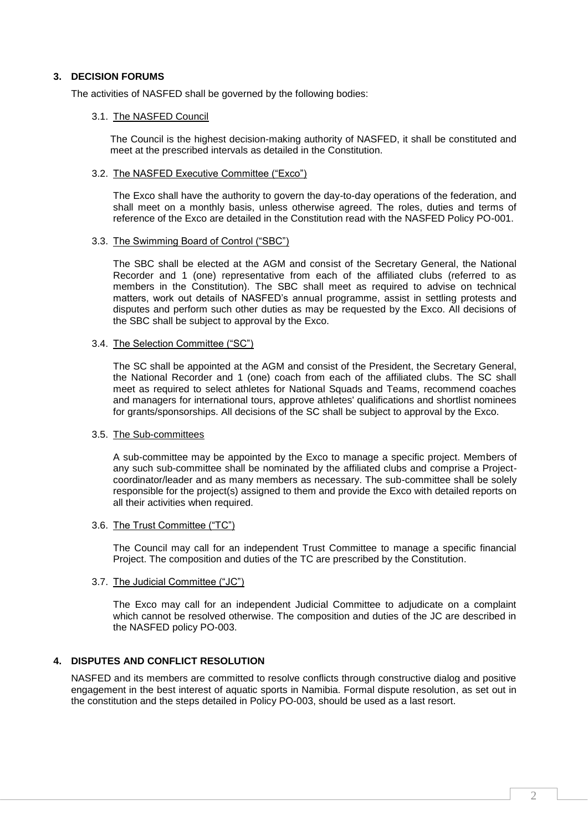# **3. DECISION FORUMS**

The activities of NASFED shall be governed by the following bodies:

# 3.1. The NASFED Council

The Council is the highest decision-making authority of NASFED, it shall be constituted and meet at the prescribed intervals as detailed in the Constitution.

# 3.2. The NASFED Executive Committee ("Exco")

The Exco shall have the authority to govern the day-to-day operations of the federation, and shall meet on a monthly basis, unless otherwise agreed. The roles, duties and terms of reference of the Exco are detailed in the Constitution read with the NASFED Policy PO-001.

# 3.3. The Swimming Board of Control ("SBC")

The SBC shall be elected at the AGM and consist of the Secretary General, the National Recorder and 1 (one) representative from each of the affiliated clubs (referred to as members in the Constitution). The SBC shall meet as required to advise on technical matters, work out details of NASFED's annual programme, assist in settling protests and disputes and perform such other duties as may be requested by the Exco. All decisions of the SBC shall be subject to approval by the Exco.

# 3.4. The Selection Committee ("SC")

The SC shall be appointed at the AGM and consist of the President, the Secretary General, the National Recorder and 1 (one) coach from each of the affiliated clubs. The SC shall meet as required to select athletes for National Squads and Teams, recommend coaches and managers for international tours, approve athletes' qualifications and shortlist nominees for grants/sponsorships. All decisions of the SC shall be subject to approval by the Exco.

# 3.5. The Sub-committees

A sub-committee may be appointed by the Exco to manage a specific project. Members of any such sub-committee shall be nominated by the affiliated clubs and comprise a Projectcoordinator/leader and as many members as necessary. The sub-committee shall be solely responsible for the project(s) assigned to them and provide the Exco with detailed reports on all their activities when required.

# 3.6. The Trust Committee ("TC")

The Council may call for an independent Trust Committee to manage a specific financial Project. The composition and duties of the TC are prescribed by the Constitution.

# 3.7. The Judicial Committee ("JC")

The Exco may call for an independent Judicial Committee to adjudicate on a complaint which cannot be resolved otherwise. The composition and duties of the JC are described in the NASFED policy PO-003.

# **4. DISPUTES AND CONFLICT RESOLUTION**

NASFED and its members are committed to resolve conflicts through constructive dialog and positive engagement in the best interest of aquatic sports in Namibia. Formal dispute resolution, as set out in the constitution and the steps detailed in Policy PO-003, should be used as a last resort.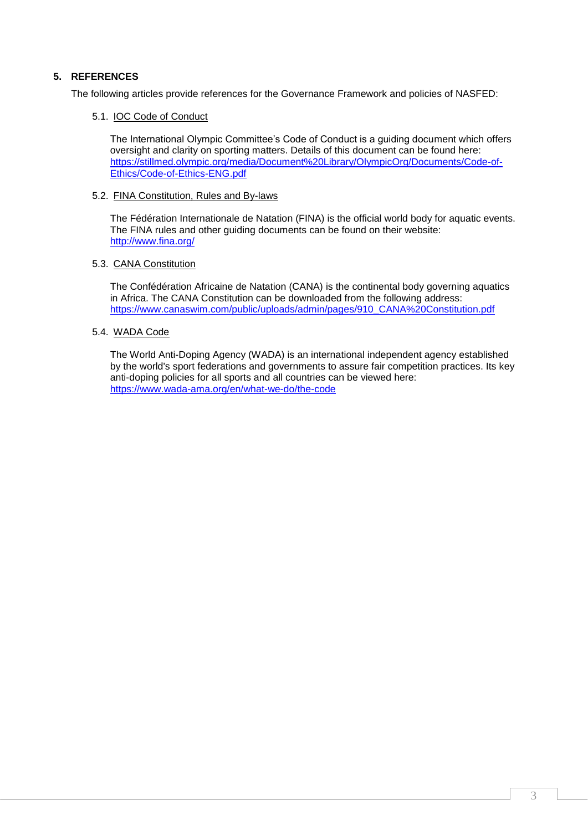# **5. REFERENCES**

The following articles provide references for the Governance Framework and policies of NASFED:

5.1. IOC Code of Conduct

The International Olympic Committee's Code of Conduct is a guiding document which offers oversight and clarity on sporting matters. Details of this document can be found here: [https://stillmed.olympic.org/media/Document%20Library/OlympicOrg/Documents/Code-of-](https://stillmed.olympic.org/media/Document%20Library/OlympicOrg/Documents/Code-of-Ethics/Code-of-Ethics-ENG.pdf)[Ethics/Code-of-Ethics-ENG.pdf](https://stillmed.olympic.org/media/Document%20Library/OlympicOrg/Documents/Code-of-Ethics/Code-of-Ethics-ENG.pdf)

# 5.2. FINA Constitution, Rules and By-laws

The Fédération Internationale de Natation (FINA) is the official world body for aquatic events. The FINA rules and other guiding documents can be found on their website: <http://www.fina.org/>

# 5.3. CANA Constitution

The Confédération Africaine de Natation (CANA) is the continental body governing aquatics in Africa. The CANA Constitution can be downloaded from the following address: [https://www.canaswim.com/public/uploads/admin/pages/910\\_CANA%20Constitution.pdf](https://www.canaswim.com/public/uploads/admin/pages/910_CANA%20Constitution.pdf)

# 5.4. WADA Code

The World Anti-Doping Agency (WADA) is an international independent agency established by the world's sport federations and governments to assure fair competition practices. Its key anti-doping policies for all sports and all countries can be viewed here: <https://www.wada-ama.org/en/what-we-do/the-code>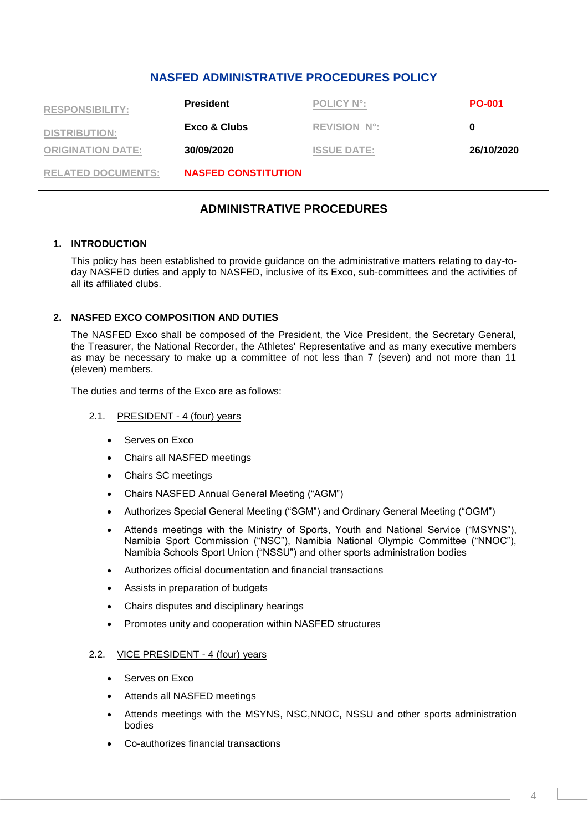# **NASFED ADMINISTRATIVE PROCEDURES POLICY**

| <b>RESPONSIBILITY:</b>    | <b>President</b>           | <b>POLICY N°:</b>   | <b>PO-001</b> |
|---------------------------|----------------------------|---------------------|---------------|
| <b>DISTRIBUTION:</b>      | Exco & Clubs               | <b>REVISION N°:</b> | 0             |
| <b>ORIGINATION DATE:</b>  | 30/09/2020                 | <b>ISSUE DATE:</b>  | 26/10/2020    |
| <b>RELATED DOCUMENTS:</b> | <b>NASFED CONSTITUTION</b> |                     |               |

# **ADMINISTRATIVE PROCEDURES**

# **1. INTRODUCTION**

This policy has been established to provide guidance on the administrative matters relating to day-today NASFED duties and apply to NASFED, inclusive of its Exco, sub-committees and the activities of all its affiliated clubs.

# **2. NASFED EXCO COMPOSITION AND DUTIES**

The NASFED Exco shall be composed of the President, the Vice President, the Secretary General, the Treasurer, the National Recorder, the Athletes' Representative and as many executive members as may be necessary to make up a committee of not less than 7 (seven) and not more than 11 (eleven) members.

The duties and terms of the Exco are as follows:

# 2.1. PRESIDENT - 4 (four) years

- Serves on Exco
- Chairs all NASFED meetings
- Chairs SC meetings
- Chairs NASFED Annual General Meeting ("AGM")
- Authorizes Special General Meeting ("SGM") and Ordinary General Meeting ("OGM")
- Attends meetings with the Ministry of Sports, Youth and National Service ("MSYNS"), Namibia Sport Commission ("NSC"), Namibia National Olympic Committee ("NNOC"), Namibia Schools Sport Union ("NSSU") and other sports administration bodies
- Authorizes official documentation and financial transactions
- Assists in preparation of budgets
- Chairs disputes and disciplinary hearings
- Promotes unity and cooperation within NASFED structures

# 2.2. VICE PRESIDENT - 4 (four) years

- Serves on Exco
- Attends all NASFED meetings
- Attends meetings with the MSYNS, NSC,NNOC, NSSU and other sports administration bodies
- Co-authorizes financial transactions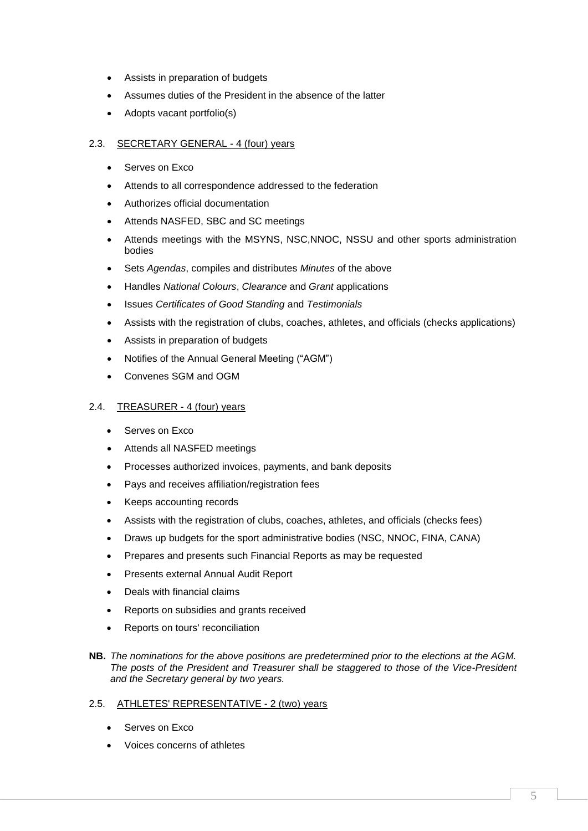- Assists in preparation of budgets
- Assumes duties of the President in the absence of the latter
- Adopts vacant portfolio(s)

# 2.3. SECRETARY GENERAL - 4 (four) years

- Serves on Exco
- Attends to all correspondence addressed to the federation
- Authorizes official documentation
- Attends NASFED, SBC and SC meetings
- Attends meetings with the MSYNS, NSC,NNOC, NSSU and other sports administration bodies
- Sets *Agendas*, compiles and distributes *Minutes* of the above
- Handles *National Colours*, *Clearance* and *Grant* applications
- Issues *Certificates of Good Standing* and *Testimonials*
- Assists with the registration of clubs, coaches, athletes, and officials (checks applications)
- Assists in preparation of budgets
- Notifies of the Annual General Meeting ("AGM")
- Convenes SGM and OGM

# 2.4. TREASURER - 4 (four) years

- **Serves on Exco**
- Attends all NASFED meetings
- Processes authorized invoices, payments, and bank deposits
- Pays and receives affiliation/registration fees
- Keeps accounting records
- Assists with the registration of clubs, coaches, athletes, and officials (checks fees)
- Draws up budgets for the sport administrative bodies (NSC, NNOC, FINA, CANA)
- Prepares and presents such Financial Reports as may be requested
- Presents external Annual Audit Report
- Deals with financial claims
- Reports on subsidies and grants received
- Reports on tours' reconciliation
- **NB.** *The nominations for the above positions are predetermined prior to the elections at the AGM. The posts of the President and Treasurer shall be staggered to those of the Vice-President and the Secretary general by two years.*

# 2.5. ATHLETES' REPRESENTATIVE - 2 (two) years

- Serves on Exco
- Voices concerns of athletes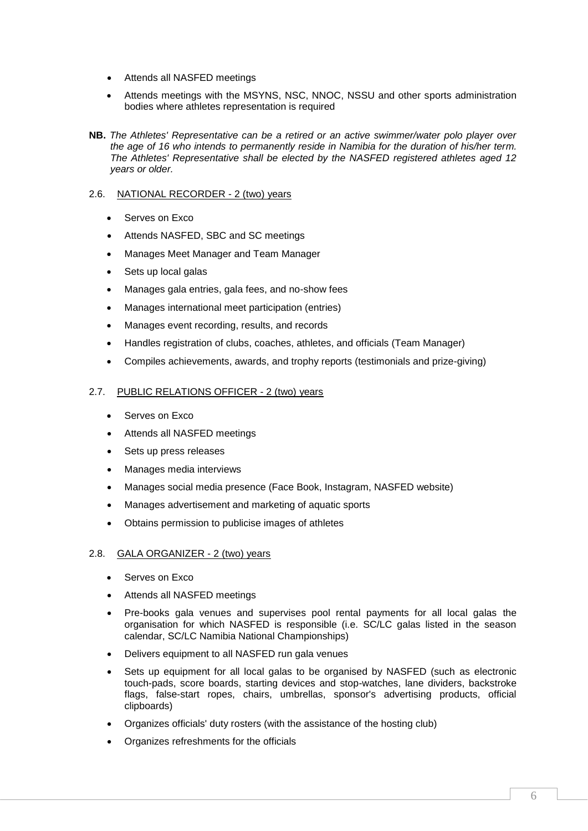- Attends all NASFED meetings
- Attends meetings with the MSYNS, NSC, NNOC, NSSU and other sports administration bodies where athletes representation is required
- **NB.** *The Athletes' Representative can be a retired or an active swimmer/water polo player over the age of 16 who intends to permanently reside in Namibia for the duration of his/her term. The Athletes' Representative shall be elected by the NASFED registered athletes aged 12 years or older.*

# 2.6. NATIONAL RECORDER - 2 (two) years

- Serves on Exco
- Attends NASFED, SBC and SC meetings
- Manages Meet Manager and Team Manager
- Sets up local galas
- Manages gala entries, gala fees, and no-show fees
- Manages international meet participation (entries)
- Manages event recording, results, and records
- Handles registration of clubs, coaches, athletes, and officials (Team Manager)
- Compiles achievements, awards, and trophy reports (testimonials and prize-giving)

# 2.7. PUBLIC RELATIONS OFFICER - 2 (two) years

- Serves on Exco
- Attends all NASFED meetings
- Sets up press releases
- Manages media interviews
- Manages social media presence (Face Book, Instagram, NASFED website)
- Manages advertisement and marketing of aquatic sports
- Obtains permission to publicise images of athletes

# 2.8. GALA ORGANIZER - 2 (two) years

- Serves on Exco
- Attends all NASFED meetings
- Pre-books gala venues and supervises pool rental payments for all local galas the organisation for which NASFED is responsible (i.e. SC/LC galas listed in the season calendar, SC/LC Namibia National Championships)
- Delivers equipment to all NASFED run gala venues
- Sets up equipment for all local galas to be organised by NASFED (such as electronic touch-pads, score boards, starting devices and stop-watches, lane dividers, backstroke flags, false-start ropes, chairs, umbrellas, sponsor's advertising products, official clipboards)
- Organizes officials' duty rosters (with the assistance of the hosting club)
- Organizes refreshments for the officials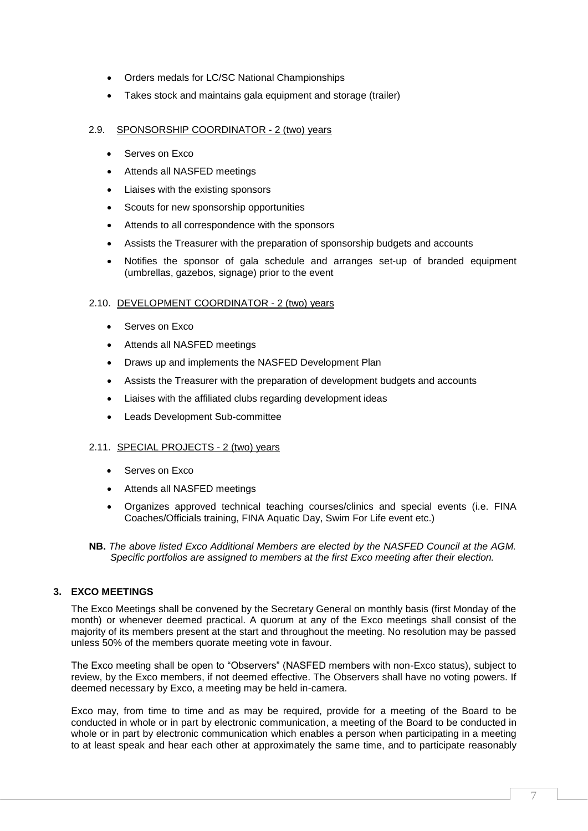- Orders medals for LC/SC National Championships
- Takes stock and maintains gala equipment and storage (trailer)

# 2.9. SPONSORSHIP COORDINATOR - 2 (two) years

- Serves on Exco
- Attends all NASFED meetings
- Liaises with the existing sponsors
- Scouts for new sponsorship opportunities
- Attends to all correspondence with the sponsors
- Assists the Treasurer with the preparation of sponsorship budgets and accounts
- Notifies the sponsor of gala schedule and arranges set-up of branded equipment (umbrellas, gazebos, signage) prior to the event

# 2.10. DEVELOPMENT COORDINATOR - 2 (two) years

- Serves on Exco
- Attends all NASFED meetings
- Draws up and implements the NASFED Development Plan
- Assists the Treasurer with the preparation of development budgets and accounts
- Liaises with the affiliated clubs regarding development ideas
- Leads Development Sub-committee

# 2.11. SPECIAL PROJECTS - 2 (two) years

- Serves on Exco
- Attends all NASFED meetings
- Organizes approved technical teaching courses/clinics and special events (i.e. FINA Coaches/Officials training, FINA Aquatic Day, Swim For Life event etc.)
- **NB.** *The above listed Exco Additional Members are elected by the NASFED Council at the AGM. Specific portfolios are assigned to members at the first Exco meeting after their election.*

# **3. EXCO MEETINGS**

The Exco Meetings shall be convened by the Secretary General on monthly basis (first Monday of the month) or whenever deemed practical. A quorum at any of the Exco meetings shall consist of the majority of its members present at the start and throughout the meeting. No resolution may be passed unless 50% of the members quorate meeting vote in favour.

The Exco meeting shall be open to "Observers" (NASFED members with non-Exco status), subject to review, by the Exco members, if not deemed effective. The Observers shall have no voting powers. If deemed necessary by Exco, a meeting may be held in-camera.

Exco may, from time to time and as may be required, provide for a meeting of the Board to be conducted in whole or in part by electronic communication, a meeting of the Board to be conducted in whole or in part by electronic communication which enables a person when participating in a meeting to at least speak and hear each other at approximately the same time, and to participate reasonably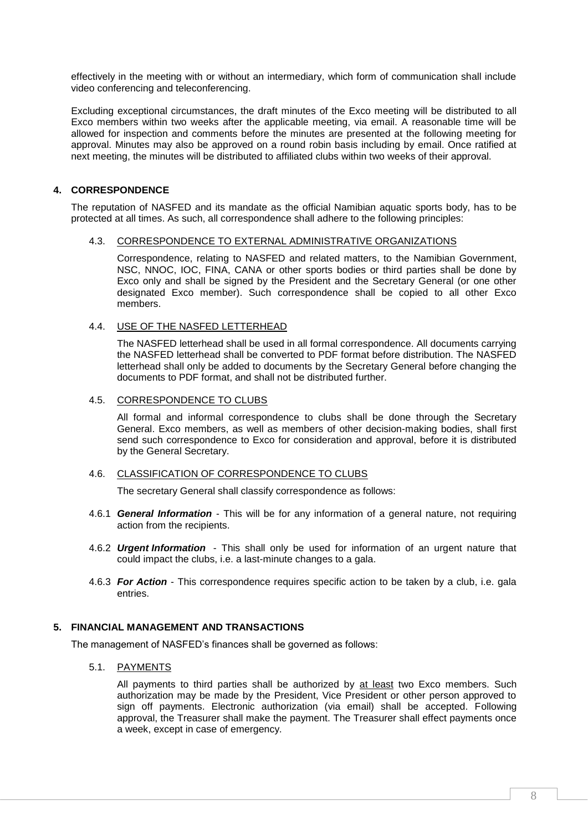effectively in the meeting with or without an intermediary, which form of communication shall include video conferencing and teleconferencing.

Excluding exceptional circumstances, the draft minutes of the Exco meeting will be distributed to all Exco members within two weeks after the applicable meeting, via email. A reasonable time will be allowed for inspection and comments before the minutes are presented at the following meeting for approval. Minutes may also be approved on a round robin basis including by email. Once ratified at next meeting, the minutes will be distributed to affiliated clubs within two weeks of their approval.

# **4. CORRESPONDENCE**

The reputation of NASFED and its mandate as the official Namibian aquatic sports body, has to be protected at all times. As such, all correspondence shall adhere to the following principles:

# 4.3. CORRESPONDENCE TO EXTERNAL ADMINISTRATIVE ORGANIZATIONS

Correspondence, relating to NASFED and related matters, to the Namibian Government, NSC, NNOC, IOC, FINA, CANA or other sports bodies or third parties shall be done by Exco only and shall be signed by the President and the Secretary General (or one other designated Exco member). Such correspondence shall be copied to all other Exco members.

# 4.4. USE OF THE NASFED LETTERHEAD

The NASFED letterhead shall be used in all formal correspondence. All documents carrying the NASFED letterhead shall be converted to PDF format before distribution. The NASFED letterhead shall only be added to documents by the Secretary General before changing the documents to PDF format, and shall not be distributed further.

# 4.5. CORRESPONDENCE TO CLUBS

All formal and informal correspondence to clubs shall be done through the Secretary General. Exco members, as well as members of other decision-making bodies, shall first send such correspondence to Exco for consideration and approval, before it is distributed by the General Secretary.

# 4.6. CLASSIFICATION OF CORRESPONDENCE TO CLUBS

The secretary General shall classify correspondence as follows:

- 4.6.1 *General Information* This will be for any information of a general nature, not requiring action from the recipients.
- 4.6.2 *Urgent Information* This shall only be used for information of an urgent nature that could impact the clubs, i.e. a last-minute changes to a gala.
- 4.6.3 *For Action* This correspondence requires specific action to be taken by a club, i.e. gala entries.

# **5. FINANCIAL MANAGEMENT AND TRANSACTIONS**

The management of NASFED's finances shall be governed as follows:

5.1. PAYMENTS

All payments to third parties shall be authorized by at least two Exco members. Such authorization may be made by the President, Vice President or other person approved to sign off payments. Electronic authorization (via email) shall be accepted. Following approval, the Treasurer shall make the payment. The Treasurer shall effect payments once a week, except in case of emergency.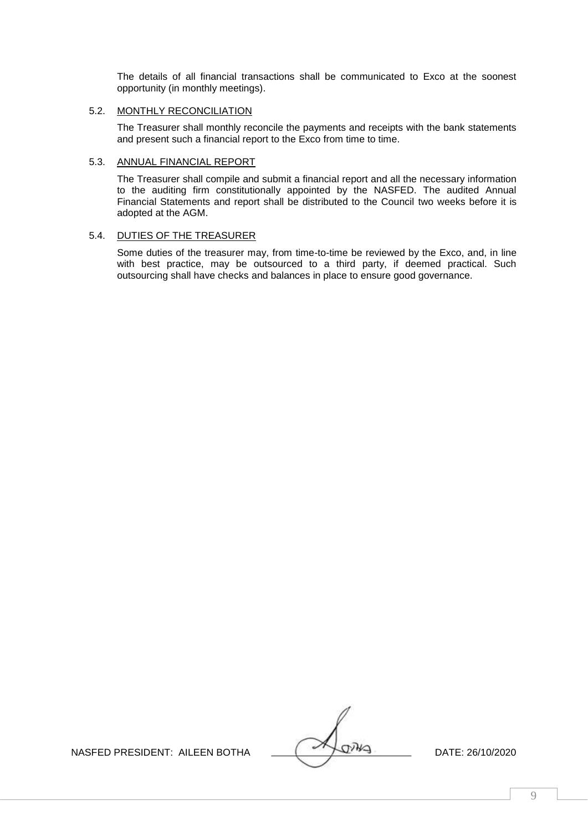The details of all financial transactions shall be communicated to Exco at the soonest opportunity (in monthly meetings).

# 5.2. MONTHLY RECONCILIATION

The Treasurer shall monthly reconcile the payments and receipts with the bank statements and present such a financial report to the Exco from time to time.

# 5.3. ANNUAL FINANCIAL REPORT

The Treasurer shall compile and submit a financial report and all the necessary information to the auditing firm constitutionally appointed by the NASFED. The audited Annual Financial Statements and report shall be distributed to the Council two weeks before it is adopted at the AGM.

# 5.4. DUTIES OF THE TREASURER

Some duties of the treasurer may, from time-to-time be reviewed by the Exco, and, in line with best practice, may be outsourced to a third party, if deemed practical. Such outsourcing shall have checks and balances in place to ensure good governance.

NASFED PRESIDENT: AILEEN BOTHA (VACIAMA DATE: 26/10/2020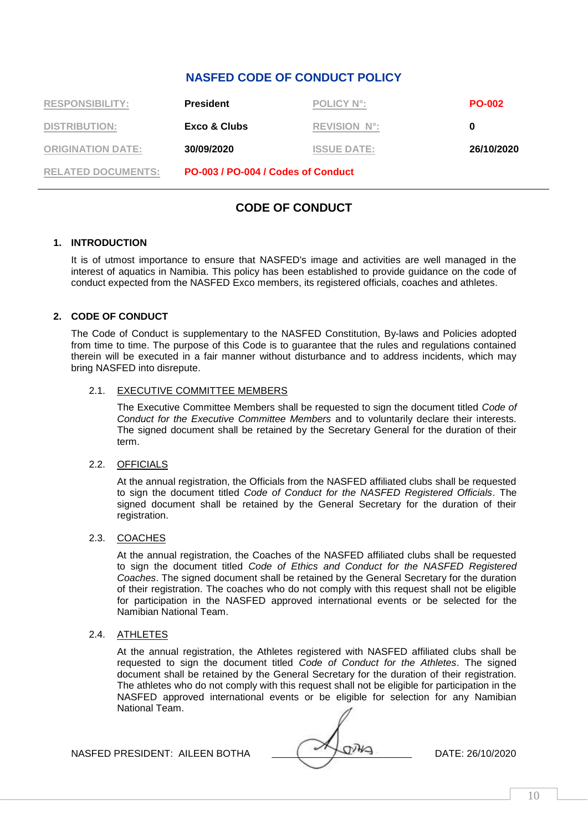# **NASFED CODE OF CONDUCT POLICY**

| <b>RESPONSIBILITY:</b>    | <b>President</b>                   | <b>POLICY N°:</b>   | <b>PO-002</b> |
|---------------------------|------------------------------------|---------------------|---------------|
| <b>DISTRIBUTION:</b>      | Exco & Clubs                       | <b>REVISION N°:</b> |               |
| <b>ORIGINATION DATE:</b>  | 30/09/2020                         | <b>ISSUE DATE:</b>  | 26/10/2020    |
| <b>RELATED DOCUMENTS:</b> | PO-003 / PO-004 / Codes of Conduct |                     |               |

# **CODE OF CONDUCT**

# **1. INTRODUCTION**

It is of utmost importance to ensure that NASFED's image and activities are well managed in the interest of aquatics in Namibia. This policy has been established to provide guidance on the code of conduct expected from the NASFED Exco members, its registered officials, coaches and athletes.

# **2. CODE OF CONDUCT**

The Code of Conduct is supplementary to the NASFED Constitution, By-laws and Policies adopted from time to time. The purpose of this Code is to guarantee that the rules and regulations contained therein will be executed in a fair manner without disturbance and to address incidents, which may bring NASFED into disrepute.

# 2.1. EXECUTIVE COMMITTEE MEMBERS

The Executive Committee Members shall be requested to sign the document titled *Code of Conduct for the Executive Committee Members* and to voluntarily declare their interests. The signed document shall be retained by the Secretary General for the duration of their term.

# 2.2. OFFICIALS

At the annual registration, the Officials from the NASFED affiliated clubs shall be requested to sign the document titled *Code of Conduct for the NASFED Registered Officials*. The signed document shall be retained by the General Secretary for the duration of their registration.

# 2.3. COACHES

At the annual registration, the Coaches of the NASFED affiliated clubs shall be requested to sign the document titled *Code of Ethics and Conduct for the NASFED Registered Coaches*. The signed document shall be retained by the General Secretary for the duration of their registration. The coaches who do not comply with this request shall not be eligible for participation in the NASFED approved international events or be selected for the Namibian National Team.

# 2.4. ATHLETES

At the annual registration, the Athletes registered with NASFED affiliated clubs shall be requested to sign the document titled *Code of Conduct for the Athletes*. The signed document shall be retained by the General Secretary for the duration of their registration. The athletes who do not comply with this request shall not be eligible for participation in the NASFED approved international events or be eligible for selection for any Namibian National Team.

NASFED PRESIDENT: AILEEN BOTHA DATE: 26/10/2020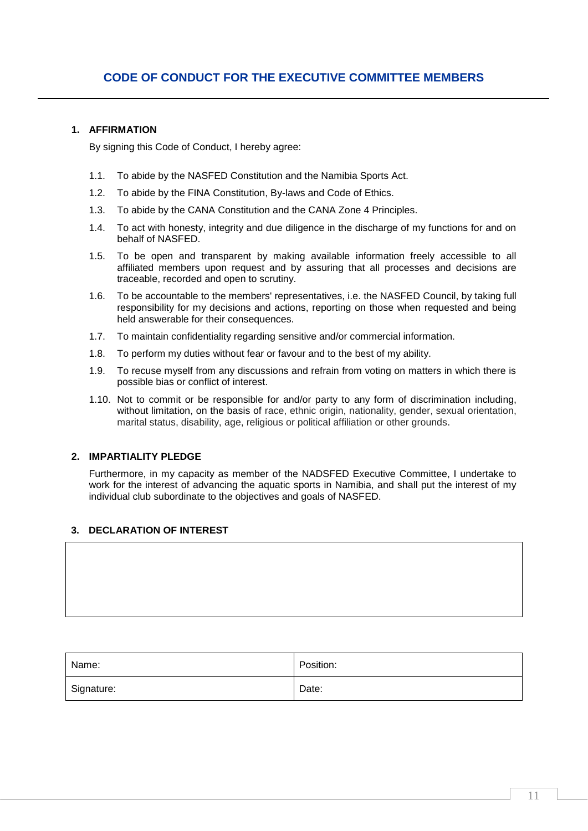# **1. AFFIRMATION**

By signing this Code of Conduct, I hereby agree:

- 1.1. To abide by the NASFED Constitution and the Namibia Sports Act.
- 1.2. To abide by the FINA Constitution, By-laws and Code of Ethics.
- 1.3. To abide by the CANA Constitution and the CANA Zone 4 Principles.
- 1.4. To act with honesty, integrity and due diligence in the discharge of my functions for and on behalf of NASFED.
- 1.5. To be open and transparent by making available information freely accessible to all affiliated members upon request and by assuring that all processes and decisions are traceable, recorded and open to scrutiny.
- 1.6. To be accountable to the members' representatives, i.e. the NASFED Council, by taking full responsibility for my decisions and actions, reporting on those when requested and being held answerable for their consequences.
- 1.7. To maintain confidentiality regarding sensitive and/or commercial information.
- 1.8. To perform my duties without fear or favour and to the best of my ability.
- 1.9. To recuse myself from any discussions and refrain from voting on matters in which there is possible bias or conflict of interest.
- 1.10. Not to commit or be responsible for and/or party to any form of discrimination including, without limitation, on the basis of race, ethnic origin, nationality, gender, sexual orientation, marital status, disability, age, religious or political affiliation or other grounds.

# **2. IMPARTIALITY PLEDGE**

Furthermore, in my capacity as member of the NADSFED Executive Committee, I undertake to work for the interest of advancing the aquatic sports in Namibia, and shall put the interest of my individual club subordinate to the objectives and goals of NASFED.

# **3. DECLARATION OF INTEREST**

| Name:      | Position: |
|------------|-----------|
| Signature: | Date:     |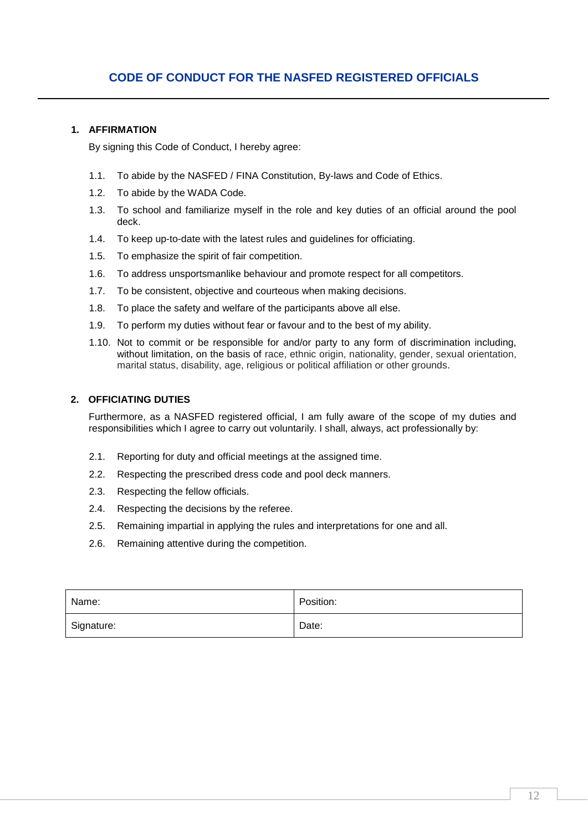# **1. AFFIRMATION**

By signing this Code of Conduct, I hereby agree:

- 1.1. To abide by the NASFED / FINA Constitution, By-laws and Code of Ethics.
- 1.2. To abide by the WADA Code.
- 1.3. To school and familiarize myself in the role and key duties of an official around the pool deck.
- 1.4. To keep up-to-date with the latest rules and guidelines for officiating.
- 1.5. To emphasize the spirit of fair competition.
- 1.6. To address unsportsmanlike behaviour and promote respect for all competitors.
- 1.7. To be consistent, objective and courteous when making decisions.
- 1.8. To place the safety and welfare of the participants above all else.
- 1.9. To perform my duties without fear or favour and to the best of my ability.
- 1.10. Not to commit or be responsible for and/or party to any form of discrimination including, without limitation, on the basis of race, ethnic origin, nationality, gender, sexual orientation, marital status, disability, age, religious or political affiliation or other grounds.

# **2. OFFICIATING DUTIES**

Furthermore, as a NASFED registered official, I am fully aware of the scope of my duties and responsibilities which I agree to carry out voluntarily. I shall, always, act professionally by:

- 2.1. Reporting for duty and official meetings at the assigned time.
- 2.2. Respecting the prescribed dress code and pool deck manners.
- 2.3. Respecting the fellow officials.
- 2.4. Respecting the decisions by the referee.
- 2.5. Remaining impartial in applying the rules and interpretations for one and all.
- 2.6. Remaining attentive during the competition.

| Name:      | Position: |
|------------|-----------|
| Signature: | Date:     |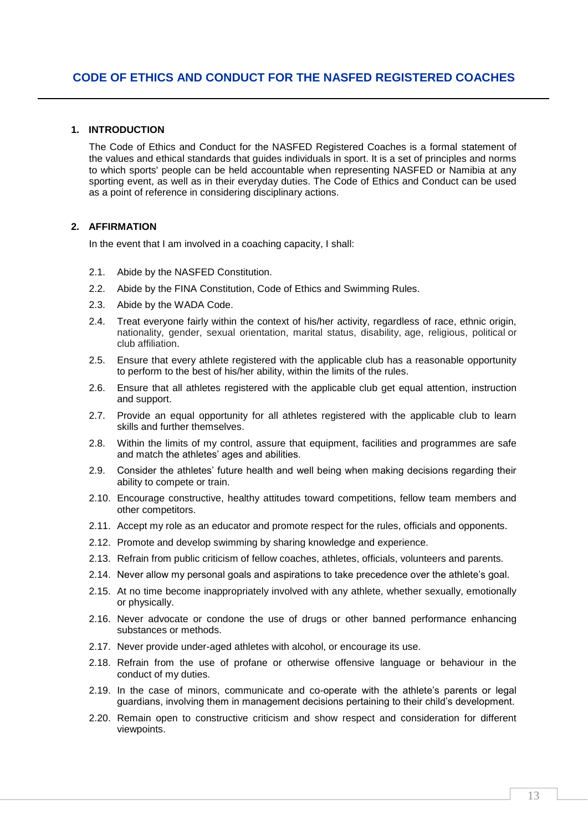# **1. INTRODUCTION**

The Code of Ethics and Conduct for the NASFED Registered Coaches is a formal statement of the values and ethical standards that guides individuals in sport. It is a set of principles and norms to which sports' people can be held accountable when representing NASFED or Namibia at any sporting event, as well as in their everyday duties. The Code of Ethics and Conduct can be used as a point of reference in considering disciplinary actions.

# **2. AFFIRMATION**

In the event that I am involved in a coaching capacity, I shall:

- 2.1. Abide by the NASFED Constitution.
- 2.2. Abide by the FINA Constitution, Code of Ethics and Swimming Rules.
- 2.3. Abide by the WADA Code.
- 2.4. Treat everyone fairly within the context of his/her activity, regardless of race, ethnic origin, nationality, gender, sexual orientation, marital status, disability, age, religious, political or club affiliation.
- 2.5. Ensure that every athlete registered with the applicable club has a reasonable opportunity to perform to the best of his/her ability, within the limits of the rules.
- 2.6. Ensure that all athletes registered with the applicable club get equal attention, instruction and support.
- 2.7. Provide an equal opportunity for all athletes registered with the applicable club to learn skills and further themselves.
- 2.8. Within the limits of my control, assure that equipment, facilities and programmes are safe and match the athletes' ages and abilities.
- 2.9. Consider the athletes' future health and well being when making decisions regarding their ability to compete or train.
- 2.10. Encourage constructive, healthy attitudes toward competitions, fellow team members and other competitors.
- 2.11. Accept my role as an educator and promote respect for the rules, officials and opponents.
- 2.12. Promote and develop swimming by sharing knowledge and experience.
- 2.13. Refrain from public criticism of fellow coaches, athletes, officials, volunteers and parents.
- 2.14. Never allow my personal goals and aspirations to take precedence over the athlete's goal.
- 2.15. At no time become inappropriately involved with any athlete, whether sexually, emotionally or physically.
- 2.16. Never advocate or condone the use of drugs or other banned performance enhancing substances or methods.
- 2.17. Never provide under-aged athletes with alcohol, or encourage its use.
- 2.18. Refrain from the use of profane or otherwise offensive language or behaviour in the conduct of my duties.
- 2.19. In the case of minors, communicate and co-operate with the athlete's parents or legal guardians, involving them in management decisions pertaining to their child's development.
- 2.20. Remain open to constructive criticism and show respect and consideration for different viewpoints.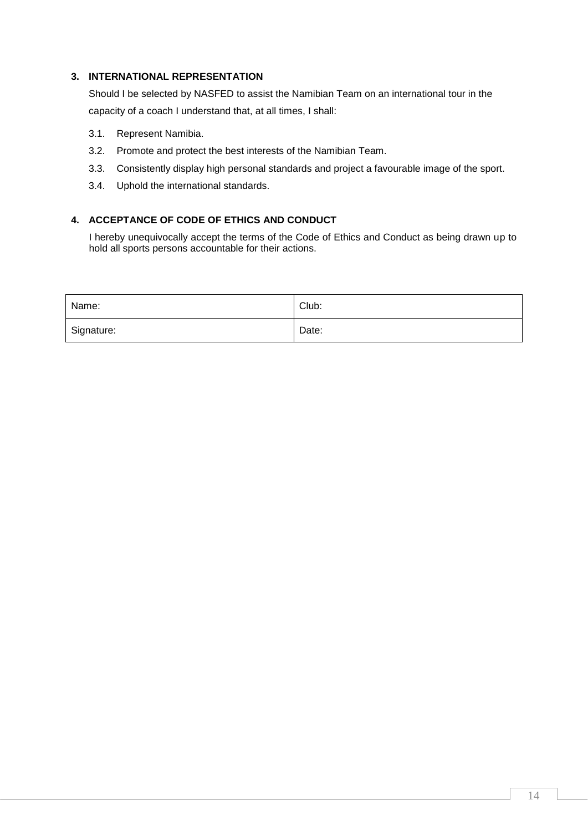# **3. INTERNATIONAL REPRESENTATION**

Should I be selected by NASFED to assist the Namibian Team on an international tour in the capacity of a coach I understand that, at all times, I shall:

- 3.1. Represent Namibia.
- 3.2. Promote and protect the best interests of the Namibian Team.
- 3.3. Consistently display high personal standards and project a favourable image of the sport.
- 3.4. Uphold the international standards.

# **4. ACCEPTANCE OF CODE OF ETHICS AND CONDUCT**

I hereby unequivocally accept the terms of the Code of Ethics and Conduct as being drawn up to hold all sports persons accountable for their actions.

| Name:      | Club: |
|------------|-------|
| Signature: | Date: |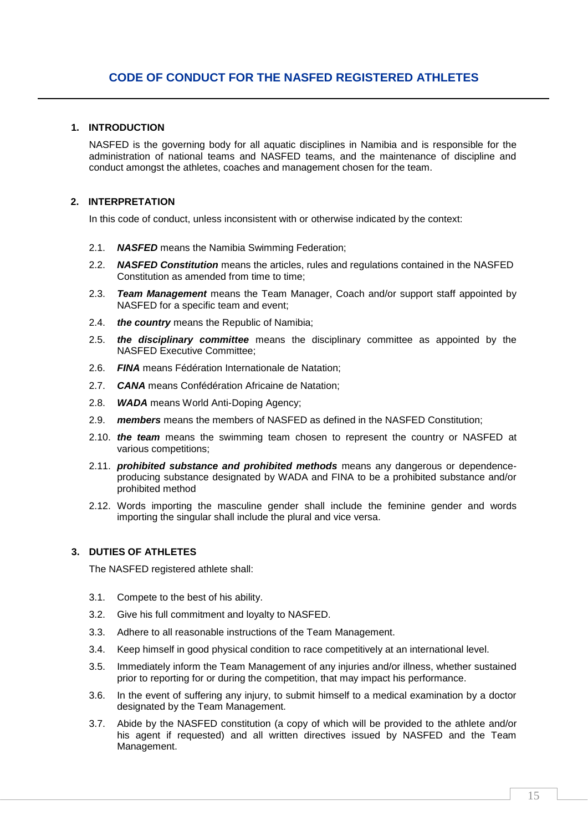# **1. INTRODUCTION**

NASFED is the governing body for all aquatic disciplines in Namibia and is responsible for the administration of national teams and NASFED teams, and the maintenance of discipline and conduct amongst the athletes, coaches and management chosen for the team.

# **2. INTERPRETATION**

In this code of conduct, unless inconsistent with or otherwise indicated by the context:

- 2.1. *NASFED* means the Namibia Swimming Federation;
- 2.2. *NASFED Constitution* means the articles, rules and regulations contained in the NASFED Constitution as amended from time to time;
- 2.3. *Team Management* means the Team Manager, Coach and/or support staff appointed by NASFED for a specific team and event;
- 2.4. *the country* means the Republic of Namibia;
- 2.5. *the disciplinary committee* means the disciplinary committee as appointed by the NASFED Executive Committee;
- 2.6. *FINA* means Fédération Internationale de Natation;
- 2.7. *CANA* means Confédération Africaine de Natation;
- 2.8. *WADA* means World Anti-Doping Agency;
- 2.9. *members* means the members of NASFED as defined in the NASFED Constitution;
- 2.10. *the team* means the swimming team chosen to represent the country or NASFED at various competitions;
- 2.11. *prohibited substance and prohibited methods* means any dangerous or dependenceproducing substance designated by WADA and FINA to be a prohibited substance and/or prohibited method
- 2.12. Words importing the masculine gender shall include the feminine gender and words importing the singular shall include the plural and vice versa.

# **3. DUTIES OF ATHLETES**

The NASFED registered athlete shall:

- 3.1. Compete to the best of his ability.
- 3.2. Give his full commitment and loyalty to NASFED.
- 3.3. Adhere to all reasonable instructions of the Team Management.
- 3.4. Keep himself in good physical condition to race competitively at an international level.
- 3.5. Immediately inform the Team Management of any injuries and/or illness, whether sustained prior to reporting for or during the competition, that may impact his performance.
- 3.6. In the event of suffering any injury, to submit himself to a medical examination by a doctor designated by the Team Management.
- 3.7. Abide by the NASFED constitution (a copy of which will be provided to the athlete and/or his agent if requested) and all written directives issued by NASFED and the Team Management.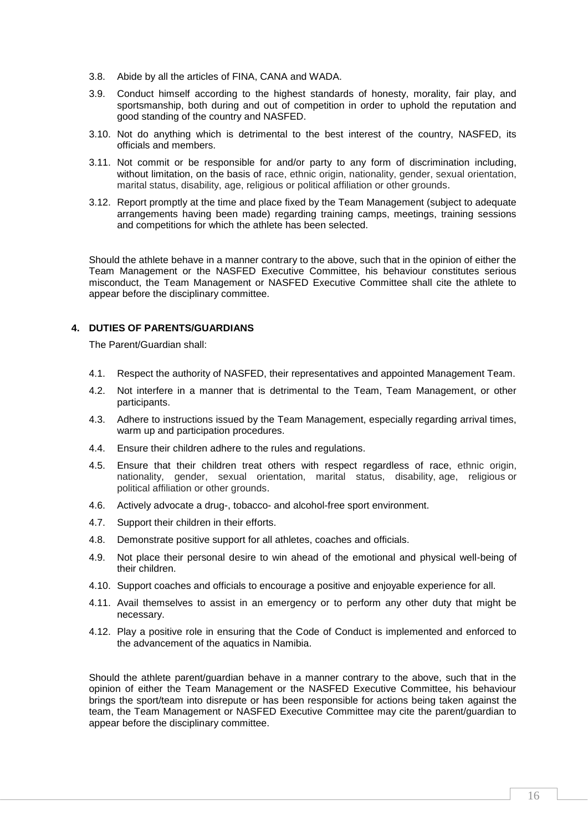- 3.8. Abide by all the articles of FINA, CANA and WADA.
- 3.9. Conduct himself according to the highest standards of honesty, morality, fair play, and sportsmanship, both during and out of competition in order to uphold the reputation and good standing of the country and NASFED.
- 3.10. Not do anything which is detrimental to the best interest of the country, NASFED, its officials and members.
- 3.11. Not commit or be responsible for and/or party to any form of discrimination including, without limitation, on the basis of race, ethnic origin, nationality, gender, sexual orientation, marital status, disability, age, religious or political affiliation or other grounds.
- 3.12. Report promptly at the time and place fixed by the Team Management (subject to adequate arrangements having been made) regarding training camps, meetings, training sessions and competitions for which the athlete has been selected.

Should the athlete behave in a manner contrary to the above, such that in the opinion of either the Team Management or the NASFED Executive Committee, his behaviour constitutes serious misconduct, the Team Management or NASFED Executive Committee shall cite the athlete to appear before the disciplinary committee.

# **4. DUTIES OF PARENTS/GUARDIANS**

The Parent/Guardian shall:

- 4.1. Respect the authority of NASFED, their representatives and appointed Management Team.
- 4.2. Not interfere in a manner that is detrimental to the Team, Team Management, or other participants.
- 4.3. Adhere to instructions issued by the Team Management, especially regarding arrival times, warm up and participation procedures.
- 4.4. Ensure their children adhere to the rules and regulations.
- 4.5. Ensure that their children treat others with respect regardless of race, ethnic origin, nationality, gender, sexual orientation, marital status, disability, age, religious or political affiliation or other grounds.
- 4.6. Actively advocate a drug-, tobacco- and alcohol-free sport environment.
- 4.7. Support their children in their efforts.
- 4.8. Demonstrate positive support for all athletes, coaches and officials.
- 4.9. Not place their personal desire to win ahead of the emotional and physical well-being of their children.
- 4.10. Support coaches and officials to encourage a positive and enjoyable experience for all.
- 4.11. Avail themselves to assist in an emergency or to perform any other duty that might be necessary.
- 4.12. Play a positive role in ensuring that the Code of Conduct is implemented and enforced to the advancement of the aquatics in Namibia.

Should the athlete parent/guardian behave in a manner contrary to the above, such that in the opinion of either the Team Management or the NASFED Executive Committee, his behaviour brings the sport/team into disrepute or has been responsible for actions being taken against the team, the Team Management or NASFED Executive Committee may cite the parent/guardian to appear before the disciplinary committee.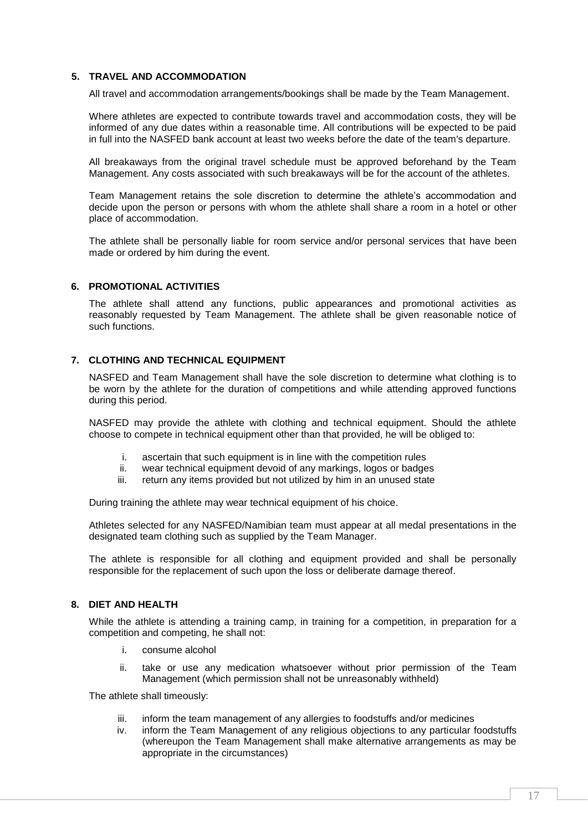# **5. TRAVEL AND ACCOMMODATION**

All travel and accommodation arrangements/bookings shall be made by the Team Management.

Where athletes are expected to contribute towards travel and accommodation costs, they will be informed of any due dates within a reasonable time. All contributions will be expected to be paid in full into the NASFED bank account at least two weeks before the date of the team's departure.

All breakaways from the original travel schedule must be approved beforehand by the Team Management. Any costs associated with such breakaways will be for the account of the athletes.

Team Management retains the sole discretion to determine the athlete's accommodation and decide upon the person or persons with whom the athlete shall share a room in a hotel or other place of accommodation.

The athlete shall be personally liable for room service and/or personal services that have been made or ordered by him during the event.

# **6. PROMOTIONAL ACTIVITIES**

The athlete shall attend any functions, public appearances and promotional activities as reasonably requested by Team Management. The athlete shall be given reasonable notice of such functions.

# **7. CLOTHING AND TECHNICAL EQUIPMENT**

NASFED and Team Management shall have the sole discretion to determine what clothing is to be worn by the athlete for the duration of competitions and while attending approved functions during this period.

NASFED may provide the athlete with clothing and technical equipment. Should the athlete choose to compete in technical equipment other than that provided, he will be obliged to:

- i. ascertain that such equipment is in line with the competition rules
- ii. wear technical equipment devoid of any markings, logos or badges
- iii. return any items provided but not utilized by him in an unused state

During training the athlete may wear technical equipment of his choice.

Athletes selected for any NASFED/Namibian team must appear at all medal presentations in the designated team clothing such as supplied by the Team Manager.

The athlete is responsible for all clothing and equipment provided and shall be personally responsible for the replacement of such upon the loss or deliberate damage thereof.

# **8. DIET AND HEALTH**

While the athlete is attending a training camp, in training for a competition, in preparation for a competition and competing, he shall not:

- i. consume alcohol
- ii. take or use any medication whatsoever without prior permission of the Team Management (which permission shall not be unreasonably withheld)

The athlete shall timeously:

- iii. inform the team management of any allergies to foodstuffs and/or medicines
- iv. inform the Team Management of any religious objections to any particular foodstuffs (whereupon the Team Management shall make alternative arrangements as may be appropriate in the circumstances)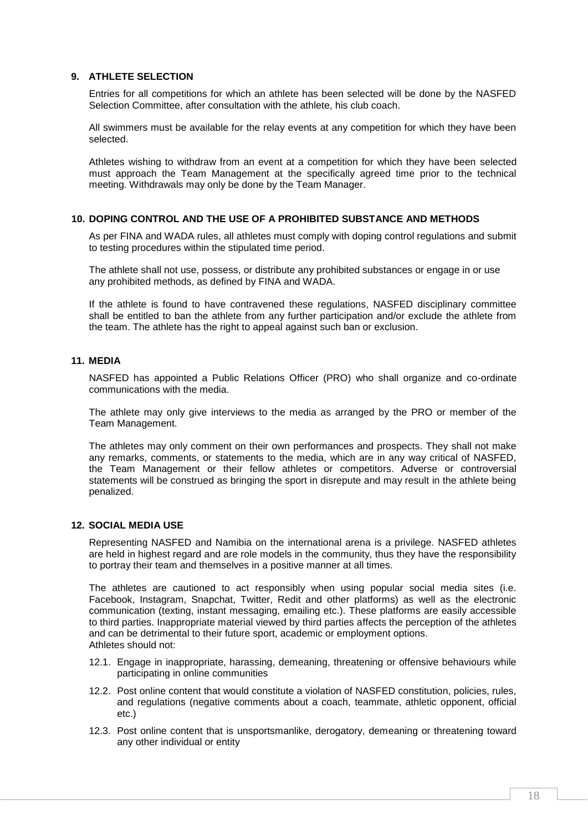# **9. ATHLETE SELECTION**

Entries for all competitions for which an athlete has been selected will be done by the NASFED Selection Committee, after consultation with the athlete, his club coach.

All swimmers must be available for the relay events at any competition for which they have been selected.

Athletes wishing to withdraw from an event at a competition for which they have been selected must approach the Team Management at the specifically agreed time prior to the technical meeting. Withdrawals may only be done by the Team Manager.

# **10. DOPING CONTROL AND THE USE OF A PROHIBITED SUBSTANCE AND METHODS**

As per FINA and WADA rules, all athletes must comply with doping control regulations and submit to testing procedures within the stipulated time period.

The athlete shall not use, possess, or distribute any prohibited substances or engage in or use any prohibited methods, as defined by FINA and WADA.

If the athlete is found to have contravened these regulations, NASFED disciplinary committee shall be entitled to ban the athlete from any further participation and/or exclude the athlete from the team. The athlete has the right to appeal against such ban or exclusion.

# **11. MEDIA**

NASFED has appointed a Public Relations Officer (PRO) who shall organize and co-ordinate communications with the media.

The athlete may only give interviews to the media as arranged by the PRO or member of the Team Management.

The athletes may only comment on their own performances and prospects. They shall not make any remarks, comments, or statements to the media, which are in any way critical of NASFED, the Team Management or their fellow athletes or competitors. Adverse or controversial statements will be construed as bringing the sport in disrepute and may result in the athlete being penalized.

# **12. SOCIAL MEDIA USE**

Representing NASFED and Namibia on the international arena is a privilege. NASFED athletes are held in highest regard and are role models in the community, thus they have the responsibility to portray their team and themselves in a positive manner at all times.

The athletes are cautioned to act responsibly when using popular social media sites (i.e. Facebook, Instagram, Snapchat, Twitter, Redit and other platforms) as well as the electronic communication (texting, instant messaging, emailing etc.). These platforms are easily accessible to third parties. Inappropriate material viewed by third parties affects the perception of the athletes and can be detrimental to their future sport, academic or employment options. Athletes should not:

- 12.1. Engage in inappropriate, harassing, demeaning, threatening or offensive behaviours while participating in online communities
- 12.2. Post online content that would constitute a violation of NASFED constitution, policies, rules, and regulations (negative comments about a coach, teammate, athletic opponent, official etc.)
- 12.3. Post online content that is unsportsmanlike, derogatory, demeaning or threatening toward any other individual or entity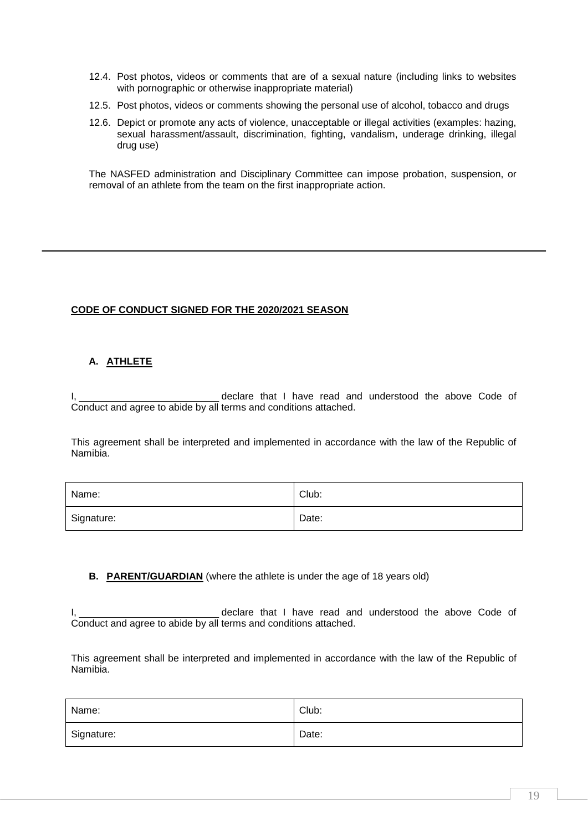- 12.4. Post photos, videos or comments that are of a sexual nature (including links to websites with pornographic or otherwise inappropriate material)
- 12.5. Post photos, videos or comments showing the personal use of alcohol, tobacco and drugs
- 12.6. Depict or promote any acts of violence, unacceptable or illegal activities (examples: hazing, sexual harassment/assault, discrimination, fighting, vandalism, underage drinking, illegal drug use)

The NASFED administration and Disciplinary Committee can impose probation, suspension, or removal of an athlete from the team on the first inappropriate action.

# **CODE OF CONDUCT SIGNED FOR THE 2020/2021 SEASON**

# **A. ATHLETE**

I, declare that I have read and understood the above Code of Conduct and agree to abide by all terms and conditions attached.

This agreement shall be interpreted and implemented in accordance with the law of the Republic of Namibia.

| Name:      | Club: |
|------------|-------|
| Signature: | Date: |

# **B. PARENT/GUARDIAN** (where the athlete is under the age of 18 years old)

I, declare that I have read and understood the above Code of Conduct and agree to abide by all terms and conditions attached.

This agreement shall be interpreted and implemented in accordance with the law of the Republic of Namibia.

| Name:      | Club: |
|------------|-------|
| Signature: | Date: |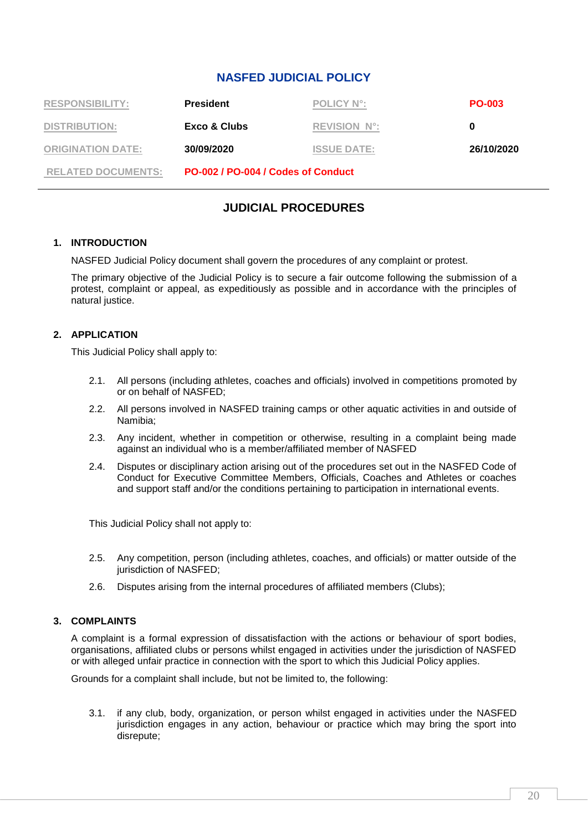# **NASFED JUDICIAL POLICY**

| <b>RESPONSIBILITY:</b>    | <b>President</b>                   | <b>POLICY N°:</b>   | <b>PO-003</b> |
|---------------------------|------------------------------------|---------------------|---------------|
| <b>DISTRIBUTION:</b>      | Exco & Clubs                       | <b>REVISION N°:</b> |               |
| <b>ORIGINATION DATE:</b>  | 30/09/2020                         | <b>ISSUE DATE:</b>  | 26/10/2020    |
| <b>RELATED DOCUMENTS:</b> | PO-002 / PO-004 / Codes of Conduct |                     |               |

# **JUDICIAL PROCEDURES**

# **1. INTRODUCTION**

NASFED Judicial Policy document shall govern the procedures of any complaint or protest.

The primary objective of the Judicial Policy is to secure a fair outcome following the submission of a protest, complaint or appeal, as expeditiously as possible and in accordance with the principles of natural justice.

# **2. APPLICATION**

This Judicial Policy shall apply to:

- 2.1. All persons (including athletes, coaches and officials) involved in competitions promoted by or on behalf of NASFED;
- 2.2. All persons involved in NASFED training camps or other aquatic activities in and outside of Namibia;
- 2.3. Any incident, whether in competition or otherwise, resulting in a complaint being made against an individual who is a member/affiliated member of NASFED
- 2.4. Disputes or disciplinary action arising out of the procedures set out in the NASFED Code of Conduct for Executive Committee Members, Officials, Coaches and Athletes or coaches and support staff and/or the conditions pertaining to participation in international events.

This Judicial Policy shall not apply to:

- 2.5. Any competition, person (including athletes, coaches, and officials) or matter outside of the jurisdiction of NASFED;
- 2.6. Disputes arising from the internal procedures of affiliated members (Clubs);

# **3. COMPLAINTS**

A complaint is a formal expression of dissatisfaction with the actions or behaviour of sport bodies, organisations, affiliated clubs or persons whilst engaged in activities under the jurisdiction of NASFED or with alleged unfair practice in connection with the sport to which this Judicial Policy applies.

Grounds for a complaint shall include, but not be limited to, the following:

3.1. if any club, body, organization, or person whilst engaged in activities under the NASFED jurisdiction engages in any action, behaviour or practice which may bring the sport into disrepute;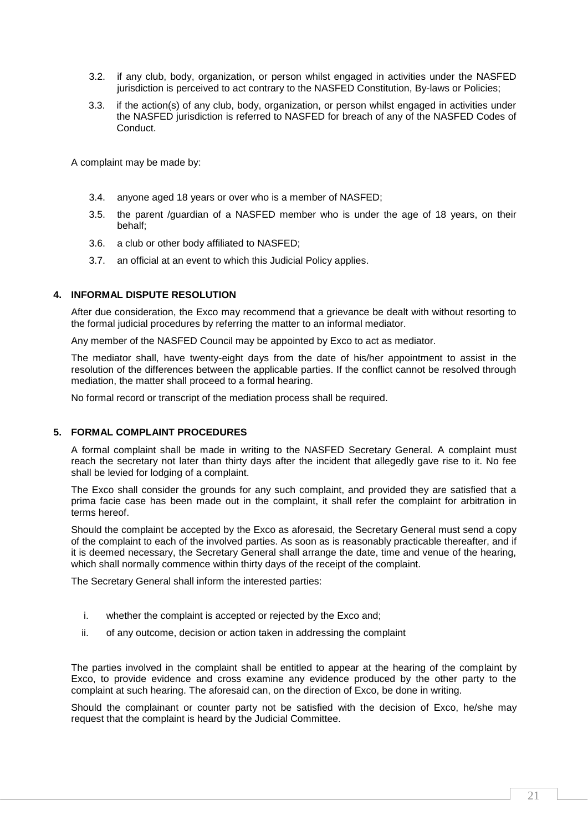- 3.2. if any club, body, organization, or person whilst engaged in activities under the NASFED jurisdiction is perceived to act contrary to the NASFED Constitution, By-laws or Policies;
- 3.3. if the action(s) of any club, body, organization, or person whilst engaged in activities under the NASFED jurisdiction is referred to NASFED for breach of any of the NASFED Codes of Conduct.

A complaint may be made by:

- 3.4. anyone aged 18 years or over who is a member of NASFED;
- 3.5. the parent /guardian of a NASFED member who is under the age of 18 years, on their behalf;
- 3.6. a club or other body affiliated to NASFED;
- 3.7. an official at an event to which this Judicial Policy applies.

# **4. INFORMAL DISPUTE RESOLUTION**

After due consideration, the Exco may recommend that a grievance be dealt with without resorting to the formal judicial procedures by referring the matter to an informal mediator.

Any member of the NASFED Council may be appointed by Exco to act as mediator.

The mediator shall, have twenty-eight days from the date of his/her appointment to assist in the resolution of the differences between the applicable parties. If the conflict cannot be resolved through mediation, the matter shall proceed to a formal hearing.

No formal record or transcript of the mediation process shall be required.

# **5. FORMAL COMPLAINT PROCEDURES**

A formal complaint shall be made in writing to the NASFED Secretary General. A complaint must reach the secretary not later than thirty days after the incident that allegedly gave rise to it. No fee shall be levied for lodging of a complaint.

The Exco shall consider the grounds for any such complaint, and provided they are satisfied that a prima facie case has been made out in the complaint, it shall refer the complaint for arbitration in terms hereof.

Should the complaint be accepted by the Exco as aforesaid, the Secretary General must send a copy of the complaint to each of the involved parties. As soon as is reasonably practicable thereafter, and if it is deemed necessary, the Secretary General shall arrange the date, time and venue of the hearing, which shall normally commence within thirty days of the receipt of the complaint.

The Secretary General shall inform the interested parties:

- i. whether the complaint is accepted or rejected by the Exco and;
- ii. of any outcome, decision or action taken in addressing the complaint

The parties involved in the complaint shall be entitled to appear at the hearing of the complaint by Exco, to provide evidence and cross examine any evidence produced by the other party to the complaint at such hearing. The aforesaid can, on the direction of Exco, be done in writing.

Should the complainant or counter party not be satisfied with the decision of Exco, he/she may request that the complaint is heard by the Judicial Committee.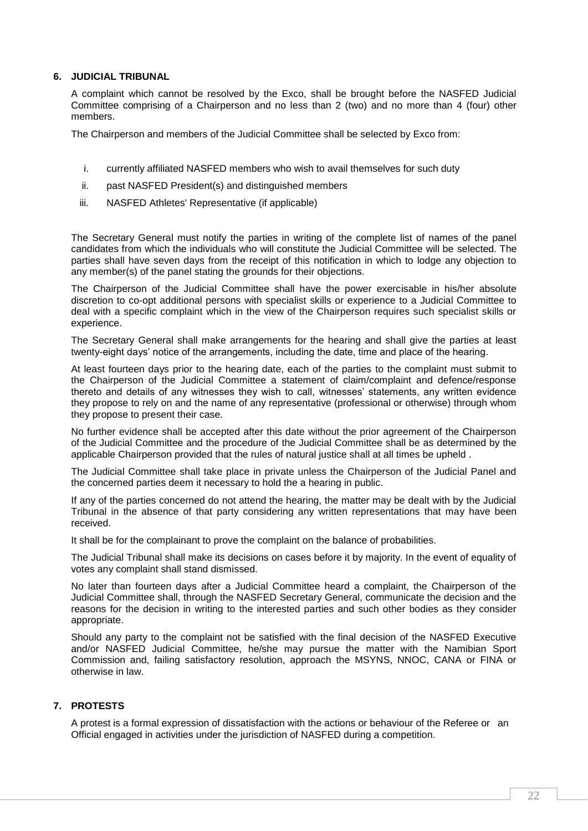# **6. JUDICIAL TRIBUNAL**

A complaint which cannot be resolved by the Exco, shall be brought before the NASFED Judicial Committee comprising of a Chairperson and no less than 2 (two) and no more than 4 (four) other members.

The Chairperson and members of the Judicial Committee shall be selected by Exco from:

- i. currently affiliated NASFED members who wish to avail themselves for such duty
- ii. past NASFED President(s) and distinguished members
- iii. NASFED Athletes' Representative (if applicable)

The Secretary General must notify the parties in writing of the complete list of names of the panel candidates from which the individuals who will constitute the Judicial Committee will be selected. The parties shall have seven days from the receipt of this notification in which to lodge any objection to any member(s) of the panel stating the grounds for their objections.

The Chairperson of the Judicial Committee shall have the power exercisable in his/her absolute discretion to co-opt additional persons with specialist skills or experience to a Judicial Committee to deal with a specific complaint which in the view of the Chairperson requires such specialist skills or experience.

The Secretary General shall make arrangements for the hearing and shall give the parties at least twenty-eight days' notice of the arrangements, including the date, time and place of the hearing.

At least fourteen days prior to the hearing date, each of the parties to the complaint must submit to the Chairperson of the Judicial Committee a statement of claim/complaint and defence/response thereto and details of any witnesses they wish to call, witnesses' statements, any written evidence they propose to rely on and the name of any representative (professional or otherwise) through whom they propose to present their case.

No further evidence shall be accepted after this date without the prior agreement of the Chairperson of the Judicial Committee and the procedure of the Judicial Committee shall be as determined by the applicable Chairperson provided that the rules of natural justice shall at all times be upheld .

The Judicial Committee shall take place in private unless the Chairperson of the Judicial Panel and the concerned parties deem it necessary to hold the a hearing in public.

If any of the parties concerned do not attend the hearing, the matter may be dealt with by the Judicial Tribunal in the absence of that party considering any written representations that may have been received.

It shall be for the complainant to prove the complaint on the balance of probabilities.

The Judicial Tribunal shall make its decisions on cases before it by majority. In the event of equality of votes any complaint shall stand dismissed.

No later than fourteen days after a Judicial Committee heard a complaint, the Chairperson of the Judicial Committee shall, through the NASFED Secretary General, communicate the decision and the reasons for the decision in writing to the interested parties and such other bodies as they consider appropriate.

Should any party to the complaint not be satisfied with the final decision of the NASFED Executive and/or NASFED Judicial Committee, he/she may pursue the matter with the Namibian Sport Commission and, failing satisfactory resolution, approach the MSYNS, NNOC, CANA or FINA or otherwise in law.

# **7. PROTESTS**

A protest is a formal expression of dissatisfaction with the actions or behaviour of the Referee or an Official engaged in activities under the jurisdiction of NASFED during a competition.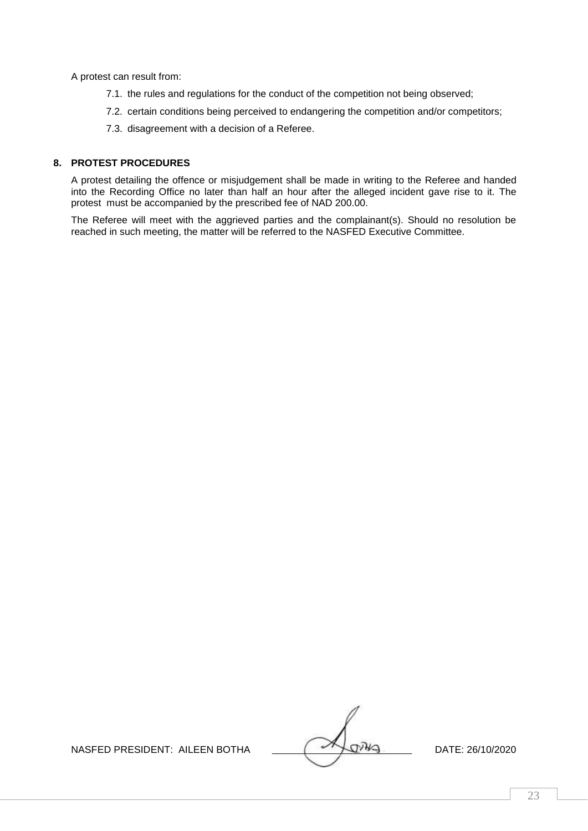A protest can result from:

- 7.1. the rules and regulations for the conduct of the competition not being observed;
- 7.2. certain conditions being perceived to endangering the competition and/or competitors;
- 7.3. disagreement with a decision of a Referee.

# **8. PROTEST PROCEDURES**

A protest detailing the offence or misjudgement shall be made in writing to the Referee and handed into the Recording Office no later than half an hour after the alleged incident gave rise to it. The protest must be accompanied by the prescribed fee of NAD 200.00.

The Referee will meet with the aggrieved parties and the complainant(s). Should no resolution be reached in such meeting, the matter will be referred to the NASFED Executive Committee.

NASFED PRESIDENT: AILEEN BOTHA  $\sqrt{2\sqrt{Q}}$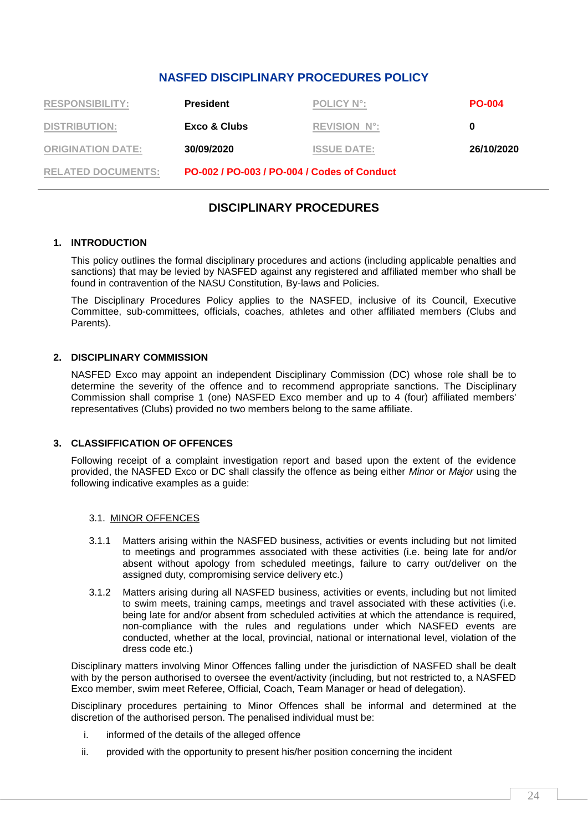# **NASFED DISCIPLINARY PROCEDURES POLICY**

| <b>RESPONSIBILITY:</b>    | <b>President</b>                            | <b>POLICY N°:</b>   | <b>PO-004</b> |
|---------------------------|---------------------------------------------|---------------------|---------------|
| <b>DISTRIBUTION:</b>      | Exco & Clubs                                | <b>REVISION N°:</b> |               |
| <b>ORIGINATION DATE:</b>  | 30/09/2020                                  | <b>ISSUE DATE:</b>  | 26/10/2020    |
| <b>RELATED DOCUMENTS:</b> | PO-002 / PO-003 / PO-004 / Codes of Conduct |                     |               |

# **DISCIPLINARY PROCEDURES**

# **1. INTRODUCTION**

This policy outlines the formal disciplinary procedures and actions (including applicable penalties and sanctions) that may be levied by NASFED against any registered and affiliated member who shall be found in contravention of the NASU Constitution, By-laws and Policies.

The Disciplinary Procedures Policy applies to the NASFED, inclusive of its Council, Executive Committee, sub-committees, officials, coaches, athletes and other affiliated members (Clubs and Parents).

# **2. DISCIPLINARY COMMISSION**

NASFED Exco may appoint an independent Disciplinary Commission (DC) whose role shall be to determine the severity of the offence and to recommend appropriate sanctions. The Disciplinary Commission shall comprise 1 (one) NASFED Exco member and up to 4 (four) affiliated members' representatives (Clubs) provided no two members belong to the same affiliate.

# **3. CLASSIFFICATION OF OFFENCES**

Following receipt of a complaint investigation report and based upon the extent of the evidence provided, the NASFED Exco or DC shall classify the offence as being either *Minor* or *Major* using the following indicative examples as a guide:

# 3.1. MINOR OFFENCES

- 3.1.1 Matters arising within the NASFED business, activities or events including but not limited to meetings and programmes associated with these activities (i.e. being late for and/or absent without apology from scheduled meetings, failure to carry out/deliver on the assigned duty, compromising service delivery etc.)
- 3.1.2 Matters arising during all NASFED business, activities or events, including but not limited to swim meets, training camps, meetings and travel associated with these activities (i.e. being late for and/or absent from scheduled activities at which the attendance is required, non-compliance with the rules and regulations under which NASFED events are conducted, whether at the local, provincial, national or international level, violation of the dress code etc.)

Disciplinary matters involving Minor Offences falling under the jurisdiction of NASFED shall be dealt with by the person authorised to oversee the event/activity (including, but not restricted to, a NASFED Exco member, swim meet Referee, Official, Coach, Team Manager or head of delegation).

Disciplinary procedures pertaining to Minor Offences shall be informal and determined at the discretion of the authorised person. The penalised individual must be:

- i. informed of the details of the alleged offence
- ii. provided with the opportunity to present his/her position concerning the incident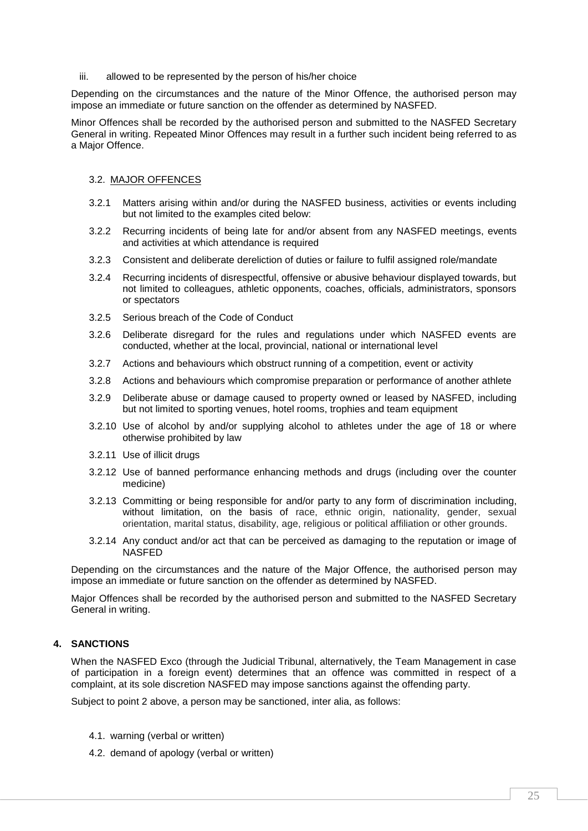iii. allowed to be represented by the person of his/her choice

Depending on the circumstances and the nature of the Minor Offence, the authorised person may impose an immediate or future sanction on the offender as determined by NASFED.

Minor Offences shall be recorded by the authorised person and submitted to the NASFED Secretary General in writing. Repeated Minor Offences may result in a further such incident being referred to as a Major Offence.

# 3.2. MAJOR OFFENCES

- 3.2.1 Matters arising within and/or during the NASFED business, activities or events including but not limited to the examples cited below:
- 3.2.2 Recurring incidents of being late for and/or absent from any NASFED meetings, events and activities at which attendance is required
- 3.2.3 Consistent and deliberate dereliction of duties or failure to fulfil assigned role/mandate
- 3.2.4 Recurring incidents of disrespectful, offensive or abusive behaviour displayed towards, but not limited to colleagues, athletic opponents, coaches, officials, administrators, sponsors or spectators
- 3.2.5 Serious breach of the Code of Conduct
- 3.2.6 Deliberate disregard for the rules and regulations under which NASFED events are conducted, whether at the local, provincial, national or international level
- 3.2.7 Actions and behaviours which obstruct running of a competition, event or activity
- 3.2.8 Actions and behaviours which compromise preparation or performance of another athlete
- 3.2.9 Deliberate abuse or damage caused to property owned or leased by NASFED, including but not limited to sporting venues, hotel rooms, trophies and team equipment
- 3.2.10 Use of alcohol by and/or supplying alcohol to athletes under the age of 18 or where otherwise prohibited by law
- 3.2.11 Use of illicit drugs
- 3.2.12 Use of banned performance enhancing methods and drugs (including over the counter medicine)
- 3.2.13 Committing or being responsible for and/or party to any form of discrimination including, without limitation, on the basis of race, ethnic origin, nationality, gender, sexual orientation, marital status, disability, age, religious or political affiliation or other grounds.
- 3.2.14 Any conduct and/or act that can be perceived as damaging to the reputation or image of NASFED

Depending on the circumstances and the nature of the Major Offence, the authorised person may impose an immediate or future sanction on the offender as determined by NASFED.

Major Offences shall be recorded by the authorised person and submitted to the NASFED Secretary General in writing.

# **4. SANCTIONS**

When the NASFED Exco (through the Judicial Tribunal, alternatively, the Team Management in case of participation in a foreign event) determines that an offence was committed in respect of a complaint, at its sole discretion NASFED may impose sanctions against the offending party.

Subject to point 2 above, a person may be sanctioned, inter alia, as follows:

- 4.1. warning (verbal or written)
- 4.2. demand of apology (verbal or written)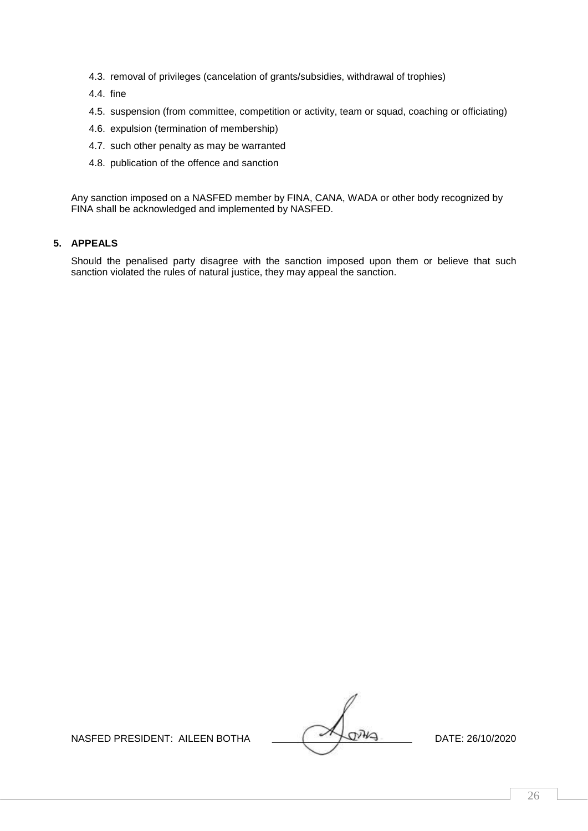- 4.3. removal of privileges (cancelation of grants/subsidies, withdrawal of trophies)
- 4.4. fine
- 4.5. suspension (from committee, competition or activity, team or squad, coaching or officiating)
- 4.6. expulsion (termination of membership)
- 4.7. such other penalty as may be warranted
- 4.8. publication of the offence and sanction

Any sanction imposed on a NASFED member by FINA, CANA, WADA or other body recognized by FINA shall be acknowledged and implemented by NASFED.

# **5. APPEALS**

Should the penalised party disagree with the sanction imposed upon them or believe that such sanction violated the rules of natural justice, they may appeal the sanction.

NASFED PRESIDENT: AILEEN BOTHA  $\sqrt{2\sqrt{Q}}$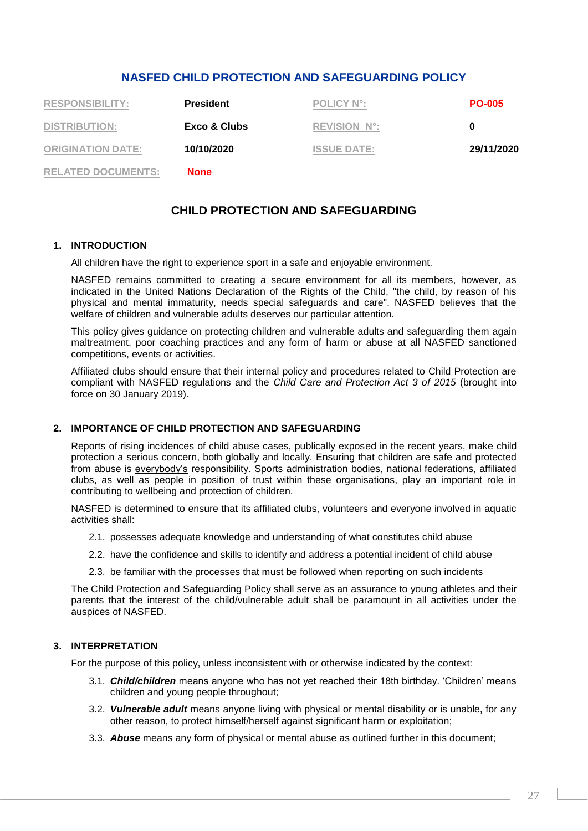# **NASFED CHILD PROTECTION AND SAFEGUARDING POLICY**

| <b>RESPONSIBILITY:</b>    | <b>President</b> | <b>POLICY N°:</b>   | <b>PO-005</b> |
|---------------------------|------------------|---------------------|---------------|
| <b>DISTRIBUTION:</b>      | Exco & Clubs     | <b>REVISION N°:</b> |               |
| <b>ORIGINATION DATE:</b>  | 10/10/2020       | <b>ISSUE DATE:</b>  | 29/11/2020    |
| <b>RELATED DOCUMENTS:</b> | <b>None</b>      |                     |               |

# **CHILD PROTECTION AND SAFEGUARDING**

# **1. INTRODUCTION**

All children have the right to experience sport in a safe and enjoyable environment.

NASFED remains committed to creating a secure environment for all its members, however, as indicated in the United Nations Declaration of the Rights of the Child, "the child, by reason of his physical and mental immaturity, needs special safeguards and care". NASFED believes that the welfare of children and vulnerable adults deserves our particular attention.

This policy gives guidance on protecting children and vulnerable adults and safeguarding them again maltreatment, poor coaching practices and any form of harm or abuse at all NASFED sanctioned competitions, events or activities.

Affiliated clubs should ensure that their internal policy and procedures related to Child Protection are compliant with NASFED regulations and the *Child Care and Protection Act 3 of 2015* (brought into force on 30 January 2019).

# **2. IMPORTANCE OF CHILD PROTECTION AND SAFEGUARDING**

Reports of rising incidences of child abuse cases, publically exposed in the recent years, make child protection a serious concern, both globally and locally. Ensuring that children are safe and protected from abuse is everybody's responsibility. Sports administration bodies, national federations, affiliated clubs, as well as people in position of trust within these organisations, play an important role in contributing to wellbeing and protection of children.

NASFED is determined to ensure that its affiliated clubs, volunteers and everyone involved in aquatic activities shall:

- 2.1. possesses adequate knowledge and understanding of what constitutes child abuse
- 2.2. have the confidence and skills to identify and address a potential incident of child abuse
- 2.3. be familiar with the processes that must be followed when reporting on such incidents

The Child Protection and Safeguarding Policy shall serve as an assurance to young athletes and their parents that the interest of the child/vulnerable adult shall be paramount in all activities under the auspices of NASFED.

# **3. INTERPRETATION**

For the purpose of this policy, unless inconsistent with or otherwise indicated by the context:

- 3.1. *Child/children* means anyone who has not yet reached their 18th birthday. 'Children' means children and young people throughout;
- 3.2. *Vulnerable adult* means anyone living with physical or mental disability or is unable, for any other reason, to protect himself/herself against significant harm or exploitation;
- 3.3. *Abuse* means any form of physical or mental abuse as outlined further in this document;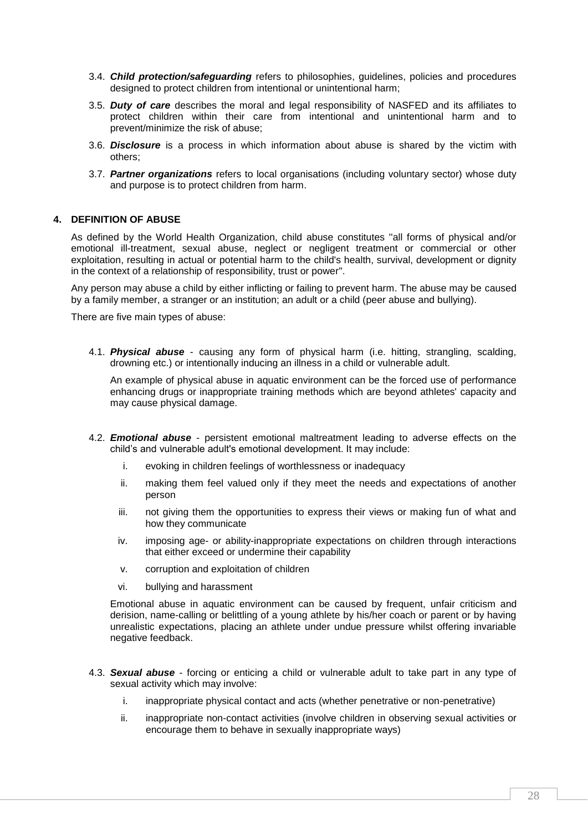- 3.4. *Child protection/safeguarding* refers to philosophies, guidelines, policies and procedures designed to protect children from intentional or unintentional harm;
- 3.5. *Duty of care* describes the moral and legal responsibility of NASFED and its affiliates to protect children within their care from intentional and unintentional harm and to prevent/minimize the risk of abuse;
- 3.6. *Disclosure* is a process in which information about abuse is shared by the victim with others;
- 3.7. *Partner organizations* refers to local organisations (including voluntary sector) whose duty and purpose is to protect children from harm.

# **4. DEFINITION OF ABUSE**

As defined by the World Health Organization, child abuse constitutes ''all forms of physical and/or emotional ill-treatment, sexual abuse, neglect or negligent treatment or commercial or other exploitation, resulting in actual or potential harm to the child's health, survival, development or dignity in the context of a relationship of responsibility, trust or power".

Any person may abuse a child by either inflicting or failing to prevent harm. The abuse may be caused by a family member, a stranger or an institution; an adult or a child (peer abuse and bullying).

There are five main types of abuse:

4.1. *Physical abuse* - causing any form of physical harm (i.e. hitting, strangling, scalding, drowning etc.) or intentionally inducing an illness in a child or vulnerable adult.

An example of physical abuse in aquatic environment can be the forced use of performance enhancing drugs or inappropriate training methods which are beyond athletes' capacity and may cause physical damage.

- 4.2. *Emotional abuse* persistent emotional maltreatment leading to adverse effects on the child's and vulnerable adult's emotional development. It may include:
	- i. evoking in children feelings of worthlessness or inadequacy
	- ii. making them feel valued only if they meet the needs and expectations of another person
	- iii. not giving them the opportunities to express their views or making fun of what and how they communicate
	- iv. imposing age- or ability-inappropriate expectations on children through interactions that either exceed or undermine their capability
	- v. corruption and exploitation of children
	- vi. bullying and harassment

Emotional abuse in aquatic environment can be caused by frequent, unfair criticism and derision, name-calling or belittling of a young athlete by his/her coach or parent or by having unrealistic expectations, placing an athlete under undue pressure whilst offering invariable negative feedback.

- 4.3. *Sexual abuse*  forcing or enticing a child or vulnerable adult to take part in any type of sexual activity which may involve:
	- i. inappropriate physical contact and acts (whether penetrative or non-penetrative)
	- ii. inappropriate non-contact activities (involve children in observing sexual activities or encourage them to behave in sexually inappropriate ways)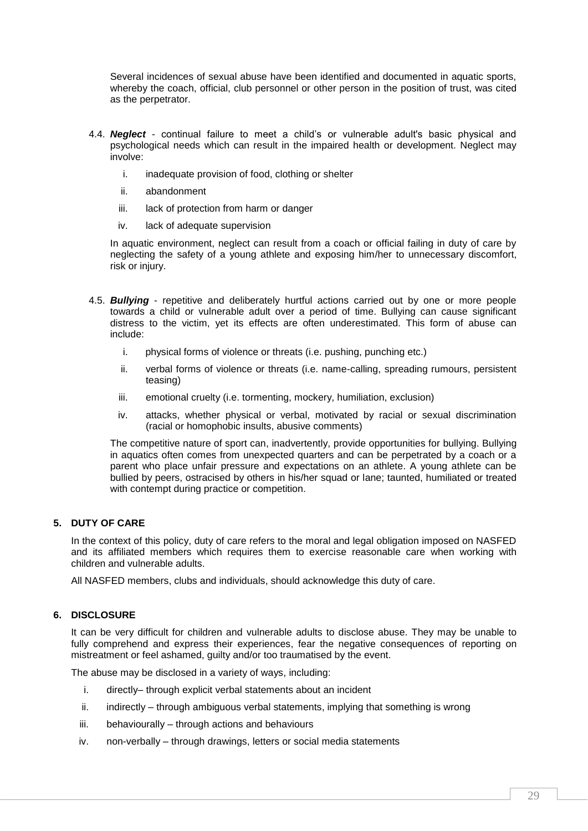Several incidences of sexual abuse have been identified and documented in aquatic sports, whereby the coach, official, club personnel or other person in the position of trust, was cited as the perpetrator.

- 4.4. *Neglect*  continual failure to meet a child's or vulnerable adult's basic physical and psychological needs which can result in the impaired health or development. Neglect may involve:
	- i. inadequate provision of food, clothing or shelter
	- ii. abandonment
	- iii. lack of protection from harm or danger
	- iv. lack of adequate supervision

In aquatic environment, neglect can result from a coach or official failing in duty of care by neglecting the safety of a young athlete and exposing him/her to unnecessary discomfort, risk or injury.

- 4.5. *Bullying*  repetitive and deliberately hurtful actions carried out by one or more people towards a child or vulnerable adult over a period of time. Bullying can cause significant distress to the victim, yet its effects are often underestimated. This form of abuse can include:
	- i. physical forms of violence or threats (i.e. pushing, punching etc.)
	- ii. verbal forms of violence or threats (i.e. name-calling, spreading rumours, persistent teasing)
	- iii. emotional cruelty (i.e. tormenting, mockery, humiliation, exclusion)
	- iv. attacks, whether physical or verbal, motivated by racial or sexual discrimination (racial or homophobic insults, abusive comments)

The competitive nature of sport can, inadvertently, provide opportunities for bullying. Bullying in aquatics often comes from unexpected quarters and can be perpetrated by a coach or a parent who place unfair pressure and expectations on an athlete. A young athlete can be bullied by peers, ostracised by others in his/her squad or lane; taunted, humiliated or treated with contempt during practice or competition.

# **5. DUTY OF CARE**

In the context of this policy, duty of care refers to the moral and legal obligation imposed on NASFED and its affiliated members which requires them to exercise reasonable care when working with children and vulnerable adults.

All NASFED members, clubs and individuals, should acknowledge this duty of care.

# **6. DISCLOSURE**

It can be very difficult for children and vulnerable adults to disclose abuse. They may be unable to fully comprehend and express their experiences, fear the negative consequences of reporting on mistreatment or feel ashamed, guilty and/or too traumatised by the event.

The abuse may be disclosed in a variety of ways, including:

- i. directly– through explicit verbal statements about an incident
- ii. indirectly through ambiguous verbal statements, implying that something is wrong
- iii. behaviourally through actions and behaviours
- iv. non-verbally through drawings, letters or social media statements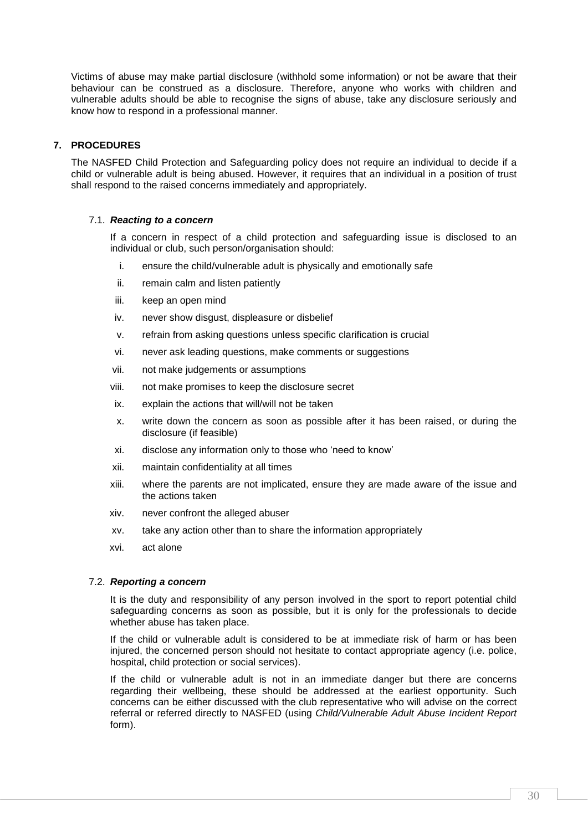Victims of abuse may make partial disclosure (withhold some information) or not be aware that their behaviour can be construed as a disclosure. Therefore, anyone who works with children and vulnerable adults should be able to recognise the signs of abuse, take any disclosure seriously and know how to respond in a professional manner.

# **7. PROCEDURES**

The NASFED Child Protection and Safeguarding policy does not require an individual to decide if a child or vulnerable adult is being abused. However, it requires that an individual in a position of trust shall respond to the raised concerns immediately and appropriately.

# 7.1. *Reacting to a concern*

If a concern in respect of a child protection and safeguarding issue is disclosed to an individual or club, such person/organisation should:

- i. ensure the child/vulnerable adult is physically and emotionally safe
- ii. remain calm and listen patiently
- iii. keep an open mind
- iv. never show disgust, displeasure or disbelief
- v. refrain from asking questions unless specific clarification is crucial
- vi. never ask leading questions, make comments or suggestions
- vii. not make judgements or assumptions
- viii. not make promises to keep the disclosure secret
- ix. explain the actions that will/will not be taken
- x. write down the concern as soon as possible after it has been raised, or during the disclosure (if feasible)
- xi. disclose any information only to those who 'need to know'
- xii. maintain confidentiality at all times
- xiii. where the parents are not implicated, ensure they are made aware of the issue and the actions taken
- xiv. never confront the alleged abuser
- xv. take any action other than to share the information appropriately
- xvi. act alone

# 7.2. *Reporting a concern*

It is the duty and responsibility of any person involved in the sport to report potential child safeguarding concerns as soon as possible, but it is only for the professionals to decide whether abuse has taken place.

If the child or vulnerable adult is considered to be at immediate risk of harm or has been injured, the concerned person should not hesitate to contact appropriate agency (i.e. police, hospital, child protection or social services).

If the child or vulnerable adult is not in an immediate danger but there are concerns regarding their wellbeing, these should be addressed at the earliest opportunity. Such concerns can be either discussed with the club representative who will advise on the correct referral or referred directly to NASFED (using *Child/Vulnerable Adult Abuse Incident Report* form).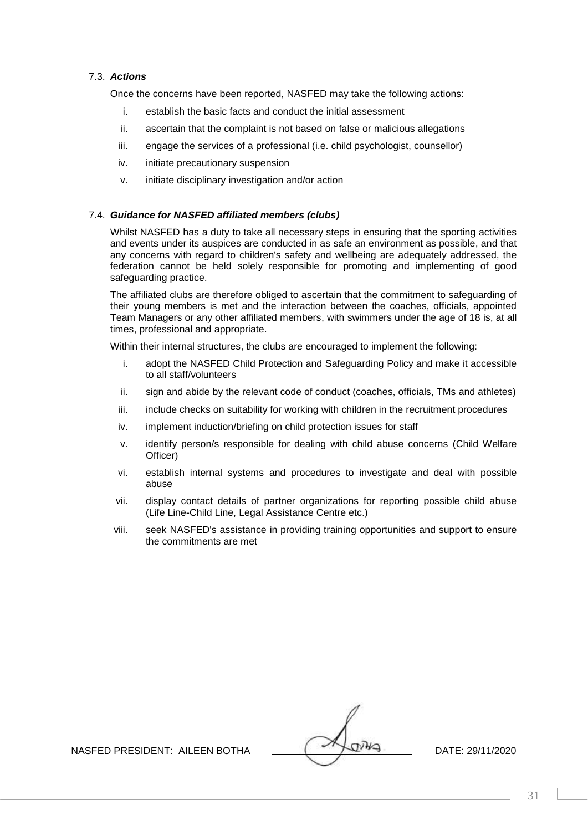# 7.3. *Actions*

Once the concerns have been reported, NASFED may take the following actions:

- i. establish the basic facts and conduct the initial assessment
- ii. ascertain that the complaint is not based on false or malicious allegations
- iii. engage the services of a professional (i.e. child psychologist, counsellor)
- iv. initiate precautionary suspension
- v. initiate disciplinary investigation and/or action

### 7.4. *Guidance for NASFED affiliated members (clubs)*

Whilst NASFED has a duty to take all necessary steps in ensuring that the sporting activities and events under its auspices are conducted in as safe an environment as possible, and that any concerns with regard to children's safety and wellbeing are adequately addressed, the federation cannot be held solely responsible for promoting and implementing of good safeguarding practice.

The affiliated clubs are therefore obliged to ascertain that the commitment to safeguarding of their young members is met and the interaction between the coaches, officials, appointed Team Managers or any other affiliated members, with swimmers under the age of 18 is, at all times, professional and appropriate.

Within their internal structures, the clubs are encouraged to implement the following:

- i. adopt the NASFED Child Protection and Safeguarding Policy and make it accessible to all staff/volunteers
- ii. sign and abide by the relevant code of conduct (coaches, officials, TMs and athletes)
- iii. include checks on suitability for working with children in the recruitment procedures
- iv. implement induction/briefing on child protection issues for staff
- v. identify person/s responsible for dealing with child abuse concerns (Child Welfare Officer)
- vi. establish internal systems and procedures to investigate and deal with possible abuse
- vii. display contact details of partner organizations for reporting possible child abuse (Life Line-Child Line, Legal Assistance Centre etc.)
- viii. seek NASFED's assistance in providing training opportunities and support to ensure the commitments are met

NASFED PRESIDENT: AILEEN BOTHA (29/11/2020) DATE: 29/11/2020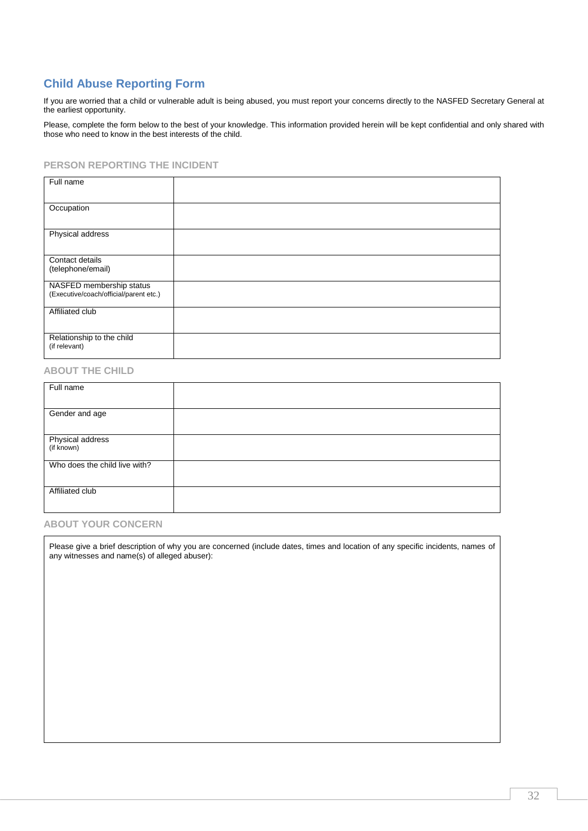# **Child Abuse Reporting Form**

If you are worried that a child or vulnerable adult is being abused, you must report your concerns directly to the NASFED Secretary General at the earliest opportunity.

Please, complete the form below to the best of your knowledge. This information provided herein will be kept confidential and only shared with those who need to know in the best interests of the child.

### **PERSON REPORTING THE INCIDENT**

| Full name                                                          |  |
|--------------------------------------------------------------------|--|
| Occupation                                                         |  |
| Physical address                                                   |  |
| Contact details<br>(telephone/email)                               |  |
| NASFED membership status<br>(Executive/coach/official/parent etc.) |  |
| Affiliated club                                                    |  |
| Relationship to the child<br>(if relevant)                         |  |

# **ABOUT THE CHILD**

| Full name                      |  |
|--------------------------------|--|
| Gender and age                 |  |
| Physical address<br>(if known) |  |
| Who does the child live with?  |  |
| Affiliated club                |  |

# **ABOUT YOUR CONCERN**

Please give a brief description of why you are concerned (include dates, times and location of any specific incidents, names of any witnesses and name(s) of alleged abuser):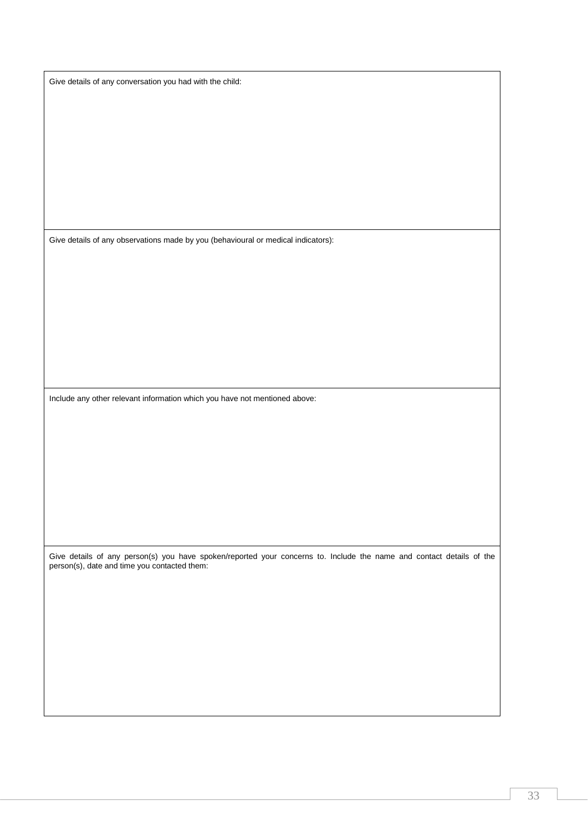Give details of any conversation you had with the child:

Give details of any observations made by you (behavioural or medical indicators):

Include any other relevant information which you have not mentioned above:

Give details of any person(s) you have spoken/reported your concerns to. Include the name and contact details of the person(s), date and time you contacted them: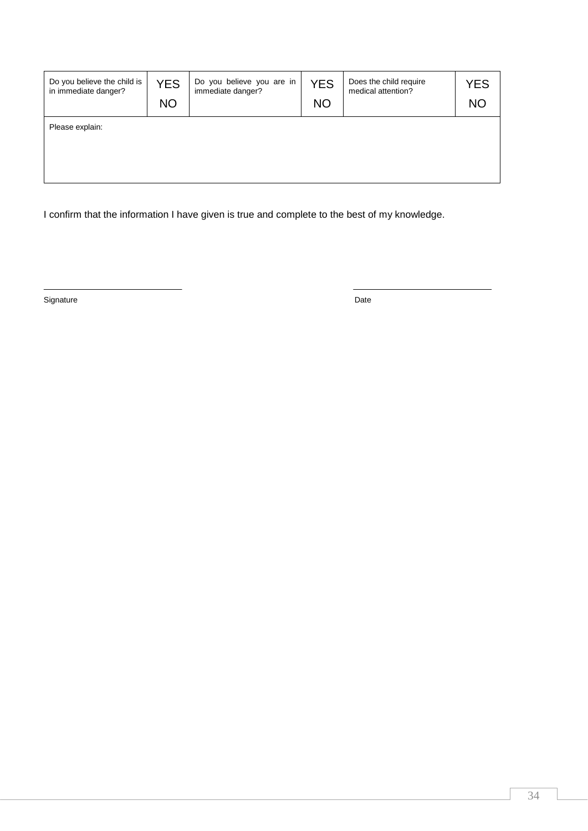| Do you believe the child is | <b>YES</b> | Do you believe you are in | YES       | Does the child require | <b>YES</b> |
|-----------------------------|------------|---------------------------|-----------|------------------------|------------|
| in immediate danger?        | <b>NO</b>  | immediate danger?         | <b>NO</b> | medical attention?     | <b>NO</b>  |
| Please explain:             |            |                           |           |                        |            |

I confirm that the information I have given is true and complete to the best of my knowledge.

Signature Date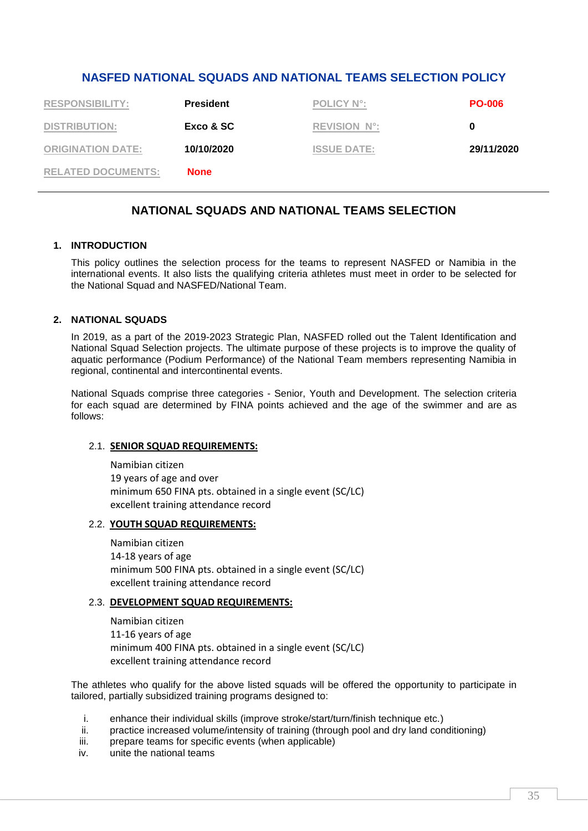# **NASFED NATIONAL SQUADS AND NATIONAL TEAMS SELECTION POLICY**

| <b>RESPONSIBILITY:</b>    | <b>President</b> | <b>POLICY N°:</b>   | <b>PO-006</b> |
|---------------------------|------------------|---------------------|---------------|
| <b>DISTRIBUTION:</b>      | Exco & SC        | <b>REVISION N°:</b> |               |
| <b>ORIGINATION DATE:</b>  | 10/10/2020       | <b>ISSUE DATE:</b>  | 29/11/2020    |
| <b>RELATED DOCUMENTS:</b> | <b>None</b>      |                     |               |

# **NATIONAL SQUADS AND NATIONAL TEAMS SELECTION**

# **1. INTRODUCTION**

This policy outlines the selection process for the teams to represent NASFED or Namibia in the international events. It also lists the qualifying criteria athletes must meet in order to be selected for the National Squad and NASFED/National Team.

# **2. NATIONAL SQUADS**

In 2019, as a part of the 2019-2023 Strategic Plan, NASFED rolled out the Talent Identification and National Squad Selection projects. The ultimate purpose of these projects is to improve the quality of aquatic performance (Podium Performance) of the National Team members representing Namibia in regional, continental and intercontinental events.

National Squads comprise three categories - Senior, Youth and Development. The selection criteria for each squad are determined by FINA points achieved and the age of the swimmer and are as follows:

# 2.1. **SENIOR SQUAD REQUIREMENTS:**

Namibian citizen 19 years of age and over minimum 650 FINA pts. obtained in a single event (SC/LC) excellent training attendance record

# 2.2. **YOUTH SQUAD REQUIREMENTS:**

Namibian citizen 14-18 years of age minimum 500 FINA pts. obtained in a single event (SC/LC) excellent training attendance record

# 2.3. **DEVELOPMENT SQUAD REQUIREMENTS:**

Namibian citizen 11-16 years of age minimum 400 FINA pts. obtained in a single event (SC/LC) excellent training attendance record

The athletes who qualify for the above listed squads will be offered the opportunity to participate in tailored, partially subsidized training programs designed to:

- i. enhance their individual skills (improve stroke/start/turn/finish technique etc.)
- ii. practice increased volume/intensity of training (through pool and dry land conditioning)
- iii. prepare teams for specific events (when applicable)
- iv. unite the national teams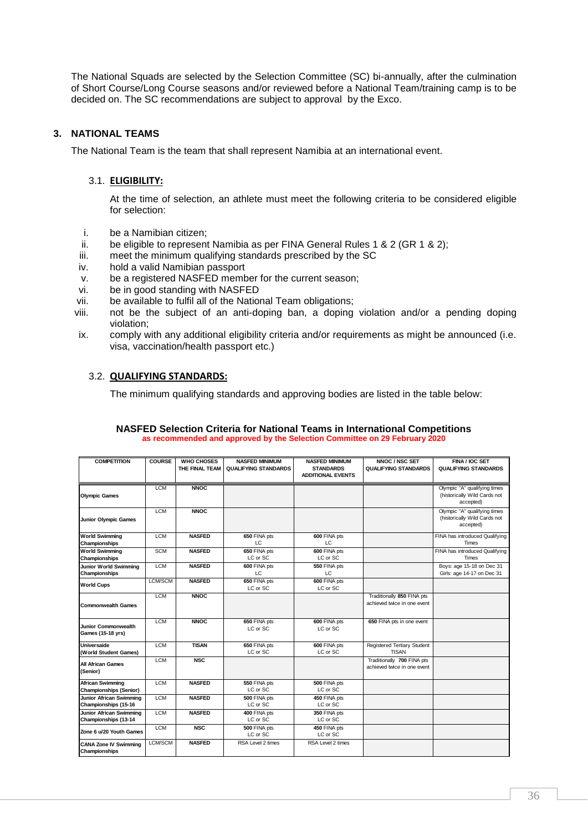The National Squads are selected by the Selection Committee (SC) bi-annually, after the culmination of Short Course/Long Course seasons and/or reviewed before a National Team/training camp is to be decided on. The SC recommendations are subject to approval by the Exco.

# **3. NATIONAL TEAMS**

The National Team is the team that shall represent Namibia at an international event.

# 3.1. **ELIGIBILITY:**

At the time of selection, an athlete must meet the following criteria to be considered eligible for selection:

- i. be a Namibian citizen;
- ii. be eligible to represent Namibia as per FINA General Rules 1 & 2 (GR 1 & 2);
- iii. meet the minimum qualifying standards prescribed by the SC
- iv. hold a valid Namibian passport
- v. be a registered NASFED member for the current season;
- vi. be in good standing with NASFED
- vii. be available to fulfil all of the National Team obligations;
- viii. not be the subject of an anti-doping ban, a doping violation and/or a pending doping violation;
- ix. comply with any additional eligibility criteria and/or requirements as might be announced (i.e. visa, vaccination/health passport etc.)

# 3.2. **QUALIFYING STANDARDS:**

The minimum qualifying standards and approving bodies are listed in the table below:

| <b>COMPETITION</b>             | <b>COURSE</b>  | <b>WHO CHOSES</b> | <b>NASFED MINIMUM</b>       | <b>NASFED MINIMUM</b>    | <b>NNOC / NSC SET</b>       | FINA / IOC SET                 |
|--------------------------------|----------------|-------------------|-----------------------------|--------------------------|-----------------------------|--------------------------------|
|                                |                | THE FINAL TEAM    | <b>QUALIFYING STANDARDS</b> | <b>STANDARDS</b>         | <b>QUALIFYING STANDARDS</b> | <b>QUALIFYING STANDARDS</b>    |
|                                |                |                   |                             | <b>ADDITIONAL EVENTS</b> |                             |                                |
|                                | <b>LCM</b>     | <b>NNOC</b>       |                             |                          |                             | Olympic "A" qualifying times   |
| <b>Olympic Games</b>           |                |                   |                             |                          |                             | (historically Wild Cards not   |
|                                |                |                   |                             |                          |                             | accepted)                      |
|                                | <b>LCM</b>     | <b>NNOC</b>       |                             |                          |                             | Olympic "A" qualifying times   |
| <b>Junior Olympic Games</b>    |                |                   |                             |                          |                             | (historically Wild Cards not   |
|                                |                |                   |                             |                          |                             | accepted)                      |
| <b>World Swimming</b>          | <b>LCM</b>     | <b>NASFED</b>     | 650 FINA pts                | 600 FINA pts             |                             | FINA has introduced Qualifying |
| Championships                  |                |                   | LC                          | LC                       |                             | <b>Times</b>                   |
| <b>World Swimming</b>          | <b>SCM</b>     | <b>NASFED</b>     | 650 FINA pts                | 600 FINA pts             |                             | FINA has introduced Qualifying |
| Championships                  |                |                   | LC or SC                    | LC or SC                 |                             | <b>Times</b>                   |
| <b>Junior World Swimming</b>   | <b>LCM</b>     | <b>NASFED</b>     | 600 FINA pts                | 550 FINA pts             |                             | Boys: age 15-18 on Dec 31      |
| Championships                  |                |                   | LC                          | LC                       |                             | Girls: age 14-17 on Dec 31     |
|                                | <b>LCM/SCM</b> | <b>NASFED</b>     | 650 FINA pts                | 600 FINA pts             |                             |                                |
| <b>World Cups</b>              |                |                   | LC or SC                    | LC or SC                 |                             |                                |
|                                | <b>LCM</b>     | <b>NNOC</b>       |                             |                          | Traditionally 850 FINA pts  |                                |
| <b>Commonwealth Games</b>      |                |                   |                             |                          | achieved twice in one event |                                |
|                                |                |                   |                             |                          |                             |                                |
|                                | <b>LCM</b>     | <b>NNOC</b>       | 650 FINA pts                | 600 FINA pts             | 650 FINA pts in one event   |                                |
| <b>Junior Commonwealth</b>     |                |                   | LC or SC                    | LC or SC                 |                             |                                |
| Games (15-18 yrs)              |                |                   |                             |                          |                             |                                |
| Universaide                    | <b>LCM</b>     | <b>TISAN</b>      | 650 FINA pts                | 600 FINA pts             | Registered Tertiary Student |                                |
| (World Student Games)          |                |                   | LC or SC                    | LC or SC                 | <b>TISAN</b>                |                                |
|                                | <b>LCM</b>     | <b>NSC</b>        |                             |                          | Traditionally 700 FINA pts  |                                |
| <b>All African Games</b>       |                |                   |                             |                          | achieved twice in one event |                                |
| (Senior)                       |                |                   |                             |                          |                             |                                |
| African Swimming               | <b>LCM</b>     | <b>NASFED</b>     | 550 FINA pts                | 500 FINA pts             |                             |                                |
| <b>Championships (Senior)</b>  |                |                   | LC or SC                    | LC or SC                 |                             |                                |
| <b>Junior African Swimming</b> | <b>LCM</b>     | <b>NASFED</b>     | 500 FINA pts                | 450 FINA pts             |                             |                                |
| Championships (15-16           |                |                   | LC or SC                    | LC or SC                 |                             |                                |
| <b>Junior African Swimming</b> | <b>LCM</b>     | <b>NASFED</b>     | 400 FINA pts                | 350 FINA pts             |                             |                                |
| Championships (13-14           |                |                   | LC or SC                    | LC or SC                 |                             |                                |
| Zone 6 u/20 Youth Games        | <b>LCM</b>     | <b>NSC</b>        | 500 FINA pts                | 450 FINA pts             |                             |                                |
|                                |                |                   | LC or SC                    | LC or SC                 |                             |                                |
| <b>CANA Zone IV Swimming</b>   | <b>LCM/SCM</b> | <b>NASFED</b>     | RSA Level 2 times           | RSA Level 2 times        |                             |                                |
| Championships                  |                |                   |                             |                          |                             |                                |

### **NASFED Selection Criteria for National Teams in International Competitions NASFED Selection Criteria for National Teams in International Competitions as recommended and approved by the Swimming Selection Committee on 29 February 2020 as recommended and approved by the Selection Committee on 29 February 2020**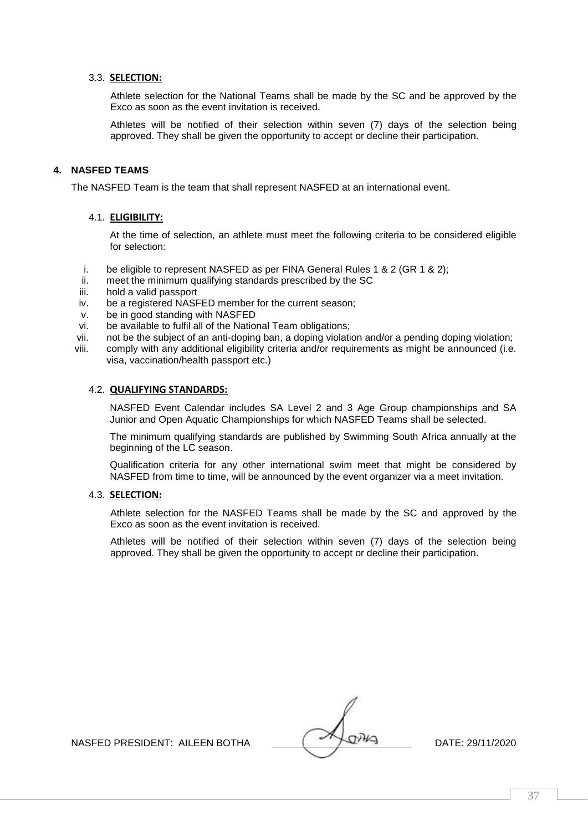# 3.3. **SELECTION:**

Athlete selection for the National Teams shall be made by the SC and be approved by the Exco as soon as the event invitation is received.

Athletes will be notified of their selection within seven (7) days of the selection being approved. They shall be given the opportunity to accept or decline their participation.

# **4. NASFED TEAMS**

The NASFED Team is the team that shall represent NASFED at an international event.

# 4.1. **ELIGIBILITY:**

At the time of selection, an athlete must meet the following criteria to be considered eligible for selection:

- i. be eligible to represent NASFED as per FINA General Rules 1 & 2 (GR 1 & 2);
- ii. meet the minimum qualifying standards prescribed by the SC
- iii. hold a valid passport
- iv. be a registered NASFED member for the current season;
- v. be in good standing with NASFED
- vi. be available to fulfil all of the National Team obligations;
- vii. not be the subject of an anti-doping ban, a doping violation and/or a pending doping violation;
- viii. comply with any additional eligibility criteria and/or requirements as might be announced (i.e. visa, vaccination/health passport etc.)

### 4.2. **QUALIFYING STANDARDS:**

NASFED Event Calendar includes SA Level 2 and 3 Age Group championships and SA Junior and Open Aquatic Championships for which NASFED Teams shall be selected.

The minimum qualifying standards are published by Swimming South Africa annually at the beginning of the LC season.

Qualification criteria for any other international swim meet that might be considered by NASFED from time to time, will be announced by the event organizer via a meet invitation.

### 4.3. **SELECTION:**

Athlete selection for the NASFED Teams shall be made by the SC and approved by the Exco as soon as the event invitation is received.

Athletes will be notified of their selection within seven (7) days of the selection being approved. They shall be given the opportunity to accept or decline their participation.

NASFED PRESIDENT: AILEEN BOTHA  $\sqrt{2}$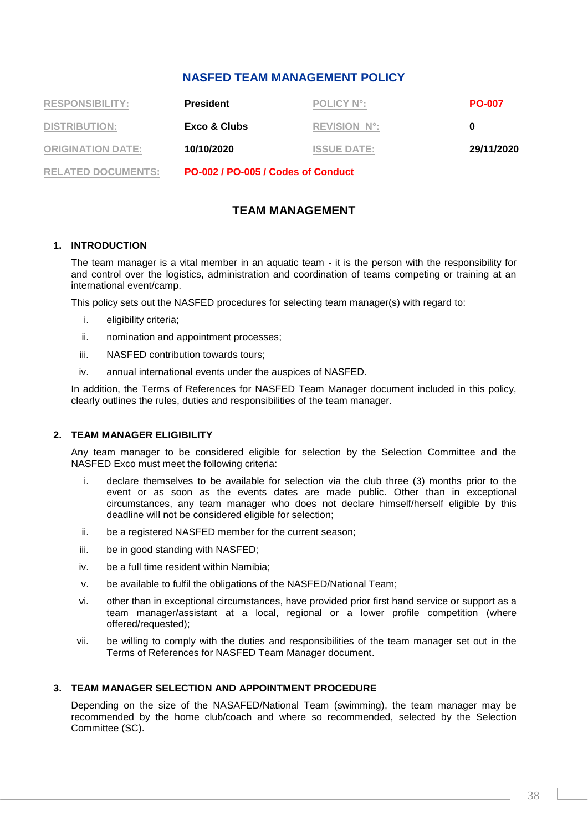# **NASFED TEAM MANAGEMENT POLICY**

| <b>RESPONSIBILITY:</b>    | <b>President</b>                   | <b>POLICY N°:</b>   | <b>PO-007</b> |
|---------------------------|------------------------------------|---------------------|---------------|
| <b>DISTRIBUTION:</b>      | Exco & Clubs                       | <b>REVISION N°:</b> |               |
| <b>ORIGINATION DATE:</b>  | 10/10/2020                         | <b>ISSUE DATE:</b>  | 29/11/2020    |
| <b>RELATED DOCUMENTS:</b> | PO-002 / PO-005 / Codes of Conduct |                     |               |

# **TEAM MANAGEMENT**

# **1. INTRODUCTION**

The team manager is a vital member in an aquatic team - it is the person with the responsibility for and control over the logistics, administration and coordination of teams competing or training at an international event/camp.

This policy sets out the NASFED procedures for selecting team manager(s) with regard to:

- i. eligibility criteria;
- ii. nomination and appointment processes;
- iii. NASFED contribution towards tours;
- iv. annual international events under the auspices of NASFED.

In addition, the Terms of References for NASFED Team Manager document included in this policy, clearly outlines the rules, duties and responsibilities of the team manager.

# **2. TEAM MANAGER ELIGIBILITY**

Any team manager to be considered eligible for selection by the Selection Committee and the NASFED Exco must meet the following criteria:

- i. declare themselves to be available for selection via the club three (3) months prior to the event or as soon as the events dates are made public. Other than in exceptional circumstances, any team manager who does not declare himself/herself eligible by this deadline will not be considered eligible for selection;
- ii. be a registered NASFED member for the current season;
- iii. be in good standing with NASFED;
- iv. be a full time resident within Namibia;
- v. be available to fulfil the obligations of the NASFED/National Team;
- vi. other than in exceptional circumstances, have provided prior first hand service or support as a team manager/assistant at a local, regional or a lower profile competition (where offered/requested);
- vii. be willing to comply with the duties and responsibilities of the team manager set out in the Terms of References for NASFED Team Manager document.

# **3. TEAM MANAGER SELECTION AND APPOINTMENT PROCEDURE**

Depending on the size of the NASAFED/National Team (swimming), the team manager may be recommended by the home club/coach and where so recommended, selected by the Selection Committee (SC).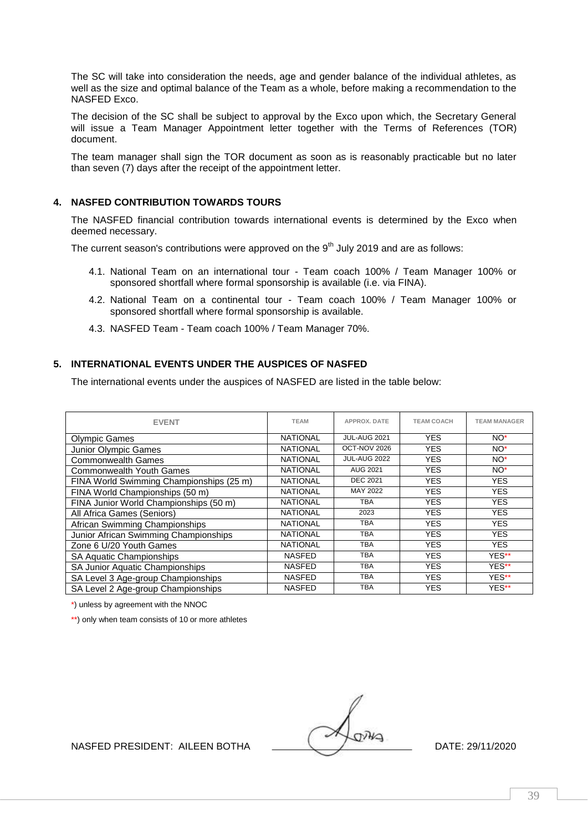The SC will take into consideration the needs, age and gender balance of the individual athletes, as well as the size and optimal balance of the Team as a whole, before making a recommendation to the NASFED Exco.

The decision of the SC shall be subject to approval by the Exco upon which, the Secretary General will issue a Team Manager Appointment letter together with the Terms of References (TOR) document.

The team manager shall sign the TOR document as soon as is reasonably practicable but no later than seven (7) days after the receipt of the appointment letter.

# **4. NASFED CONTRIBUTION TOWARDS TOURS**

The NASFED financial contribution towards international events is determined by the Exco when deemed necessary.

The current season's contributions were approved on the  $9<sup>th</sup>$  July 2019 and are as follows:

- 4.1. National Team on an international tour Team coach 100% / Team Manager 100% or sponsored shortfall where formal sponsorship is available (i.e. via FINA).
- 4.2. National Team on a continental tour Team coach 100% / Team Manager 100% or sponsored shortfall where formal sponsorship is available.
- 4.3. NASFED Team Team coach 100% / Team Manager 70%.

# **5. INTERNATIONAL EVENTS UNDER THE AUSPICES OF NASFED**

The international events under the auspices of NASFED are listed in the table below:

| <b>EVENT</b>                             | <b>TEAM</b>     | APPROX, DATE        | <b>TEAM COACH</b> | <b>TEAM MANAGER</b> |
|------------------------------------------|-----------------|---------------------|-------------------|---------------------|
| <b>Olympic Games</b>                     | <b>NATIONAL</b> | <b>JUL-AUG 2021</b> | <b>YES</b>        | NO <sup>*</sup>     |
| Junior Olympic Games                     | <b>NATIONAL</b> | OCT-NOV 2026        | <b>YES</b>        | NO <sup>*</sup>     |
| <b>Commonwealth Games</b>                | <b>NATIONAL</b> | <b>JUL-AUG 2022</b> | <b>YES</b>        | NO*                 |
| <b>Commonwealth Youth Games</b>          | <b>NATIONAL</b> | <b>AUG 2021</b>     | <b>YES</b>        | NO <sup>*</sup>     |
| FINA World Swimming Championships (25 m) | <b>NATIONAL</b> | <b>DEC 2021</b>     | <b>YES</b>        | <b>YES</b>          |
| FINA World Championships (50 m)          | <b>NATIONAL</b> | MAY 2022            | <b>YES</b>        | <b>YES</b>          |
| FINA Junior World Championships (50 m)   | <b>NATIONAL</b> | TBA                 | <b>YES</b>        | <b>YES</b>          |
| All Africa Games (Seniors)               | <b>NATIONAL</b> | 2023                | <b>YES</b>        | <b>YES</b>          |
| African Swimming Championships           | <b>NATIONAL</b> | <b>TBA</b>          | <b>YES</b>        | <b>YES</b>          |
| Junior African Swimming Championships    | <b>NATIONAL</b> | <b>TBA</b>          | <b>YES</b>        | <b>YES</b>          |
| Zone 6 U/20 Youth Games                  | <b>NATIONAL</b> | <b>TBA</b>          | <b>YES</b>        | <b>YES</b>          |
| SA Aquatic Championships                 | <b>NASFED</b>   | <b>TBA</b>          | <b>YES</b>        | YES**               |
| SA Junior Aquatic Championships          | <b>NASFED</b>   | <b>TBA</b>          | <b>YES</b>        | YES**               |
| SA Level 3 Age-group Championships       | <b>NASFED</b>   | <b>TBA</b>          | <b>YES</b>        | YES**               |
| SA Level 2 Age-group Championships       | <b>NASFED</b>   | TBA                 | <b>YES</b>        | YES**               |

\*) unless by agreement with the NNOC

\*\*) only when team consists of 10 or more athletes

NASFED PRESIDENT: AILEEN BOTHA **DATE: 29/11/2020**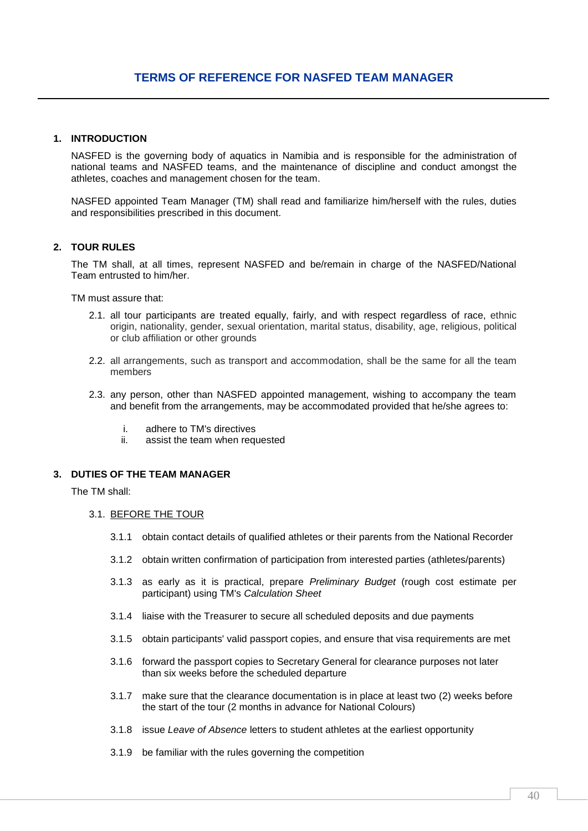# **1. INTRODUCTION**

NASFED is the governing body of aquatics in Namibia and is responsible for the administration of national teams and NASFED teams, and the maintenance of discipline and conduct amongst the athletes, coaches and management chosen for the team.

NASFED appointed Team Manager (TM) shall read and familiarize him/herself with the rules, duties and responsibilities prescribed in this document.

# **2. TOUR RULES**

The TM shall, at all times, represent NASFED and be/remain in charge of the NASFED/National Team entrusted to him/her.

TM must assure that:

- 2.1. all tour participants are treated equally, fairly, and with respect regardless of race, ethnic origin, nationality, gender, sexual orientation, marital status, disability, age, religious, political or club affiliation or other grounds
- 2.2. all arrangements, such as transport and accommodation, shall be the same for all the team members
- 2.3. any person, other than NASFED appointed management, wishing to accompany the team and benefit from the arrangements, may be accommodated provided that he/she agrees to:
	- i. adhere to TM's directives
	- ii. assist the team when requested

# **3. DUTIES OF THE TEAM MANAGER**

The TM shall:

- 3.1. BEFORE THE TOUR
	- 3.1.1 obtain contact details of qualified athletes or their parents from the National Recorder
	- 3.1.2 obtain written confirmation of participation from interested parties (athletes/parents)
	- 3.1.3 as early as it is practical, prepare *Preliminary Budget* (rough cost estimate per participant) using TM's *Calculation Sheet*
	- 3.1.4 liaise with the Treasurer to secure all scheduled deposits and due payments
	- 3.1.5 obtain participants' valid passport copies, and ensure that visa requirements are met
	- 3.1.6 forward the passport copies to Secretary General for clearance purposes not later than six weeks before the scheduled departure
	- 3.1.7 make sure that the clearance documentation is in place at least two (2) weeks before the start of the tour (2 months in advance for National Colours)
	- 3.1.8 issue *Leave of Absence* letters to student athletes at the earliest opportunity
	- 3.1.9 be familiar with the rules governing the competition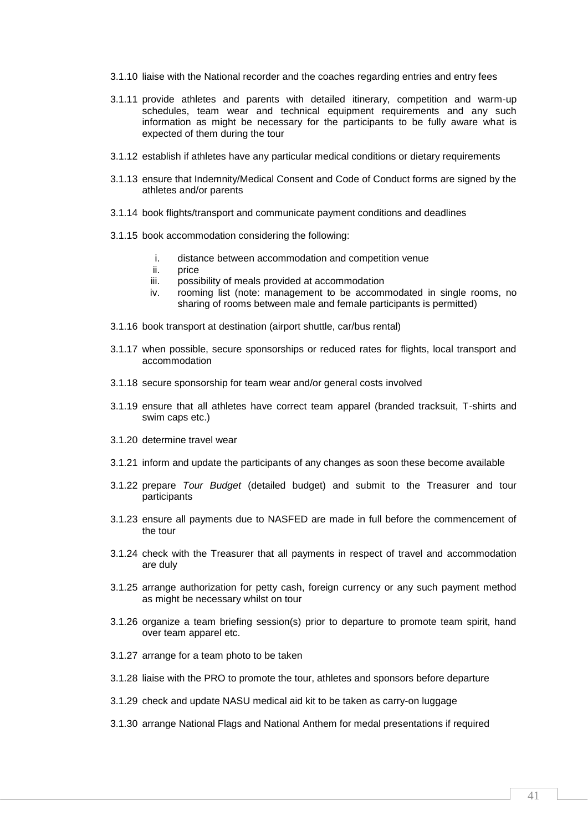- 3.1.10 liaise with the National recorder and the coaches regarding entries and entry fees
- 3.1.11 provide athletes and parents with detailed itinerary, competition and warm-up schedules, team wear and technical equipment requirements and any such information as might be necessary for the participants to be fully aware what is expected of them during the tour
- 3.1.12 establish if athletes have any particular medical conditions or dietary requirements
- 3.1.13 ensure that Indemnity/Medical Consent and Code of Conduct forms are signed by the athletes and/or parents
- 3.1.14 book flights/transport and communicate payment conditions and deadlines
- 3.1.15 book accommodation considering the following:
	- i. distance between accommodation and competition venue
	- ii. price
	- iii. possibility of meals provided at accommodation
	- iv. rooming list (note: management to be accommodated in single rooms, no sharing of rooms between male and female participants is permitted)
- 3.1.16 book transport at destination (airport shuttle, car/bus rental)
- 3.1.17 when possible, secure sponsorships or reduced rates for flights, local transport and accommodation
- 3.1.18 secure sponsorship for team wear and/or general costs involved
- 3.1.19 ensure that all athletes have correct team apparel (branded tracksuit, T-shirts and swim caps etc.)
- 3.1.20 determine travel wear
- 3.1.21 inform and update the participants of any changes as soon these become available
- 3.1.22 prepare *Tour Budget* (detailed budget) and submit to the Treasurer and tour participants
- 3.1.23 ensure all payments due to NASFED are made in full before the commencement of the tour
- 3.1.24 check with the Treasurer that all payments in respect of travel and accommodation are duly
- 3.1.25 arrange authorization for petty cash, foreign currency or any such payment method as might be necessary whilst on tour
- 3.1.26 organize a team briefing session(s) prior to departure to promote team spirit, hand over team apparel etc.
- 3.1.27 arrange for a team photo to be taken
- 3.1.28 liaise with the PRO to promote the tour, athletes and sponsors before departure
- 3.1.29 check and update NASU medical aid kit to be taken as carry-on luggage
- 3.1.30 arrange National Flags and National Anthem for medal presentations if required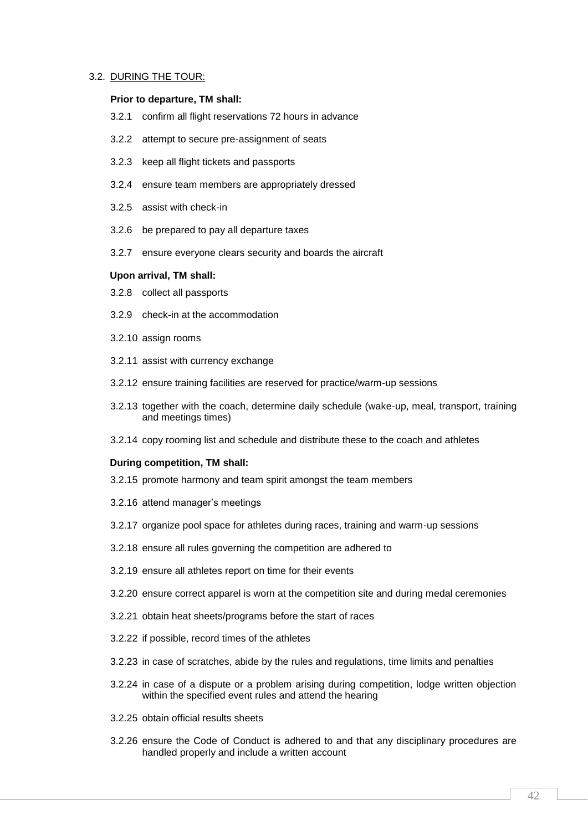# 3.2. DURING THE TOUR:

### **Prior to departure, TM shall:**

- 3.2.1 confirm all flight reservations 72 hours in advance
- 3.2.2 attempt to secure pre-assignment of seats
- 3.2.3 keep all flight tickets and passports
- 3.2.4 ensure team members are appropriately dressed
- 3.2.5 assist with check-in
- 3.2.6 be prepared to pay all departure taxes
- 3.2.7 ensure everyone clears security and boards the aircraft

# **Upon arrival, TM shall:**

- 3.2.8 collect all passports
- 3.2.9 check-in at the accommodation
- 3.2.10 assign rooms
- 3.2.11 assist with currency exchange
- 3.2.12 ensure training facilities are reserved for practice/warm-up sessions
- 3.2.13 together with the coach, determine daily schedule (wake-up, meal, transport, training and meetings times)
- 3.2.14 copy rooming list and schedule and distribute these to the coach and athletes

### **During competition, TM shall:**

- 3.2.15 promote harmony and team spirit amongst the team members
- 3.2.16 attend manager's meetings
- 3.2.17 organize pool space for athletes during races, training and warm-up sessions
- 3.2.18 ensure all rules governing the competition are adhered to
- 3.2.19 ensure all athletes report on time for their events
- 3.2.20 ensure correct apparel is worn at the competition site and during medal ceremonies
- 3.2.21 obtain heat sheets/programs before the start of races
- 3.2.22 if possible, record times of the athletes
- 3.2.23 in case of scratches, abide by the rules and regulations, time limits and penalties
- 3.2.24 in case of a dispute or a problem arising during competition, lodge written objection within the specified event rules and attend the hearing
- 3.2.25 obtain official results sheets
- 3.2.26 ensure the Code of Conduct is adhered to and that any disciplinary procedures are handled properly and include a written account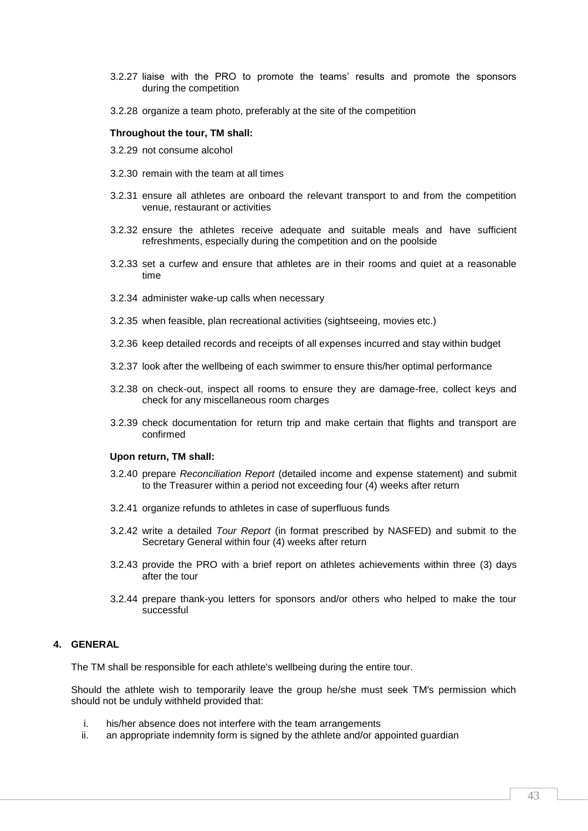- 3.2.27 liaise with the PRO to promote the teams' results and promote the sponsors during the competition
- 3.2.28 organize a team photo, preferably at the site of the competition

### **Throughout the tour, TM shall:**

- 3.2.29 not consume alcohol
- 3.2.30 remain with the team at all times
- 3.2.31 ensure all athletes are onboard the relevant transport to and from the competition venue, restaurant or activities
- 3.2.32 ensure the athletes receive adequate and suitable meals and have sufficient refreshments, especially during the competition and on the poolside
- 3.2.33 set a curfew and ensure that athletes are in their rooms and quiet at a reasonable time
- 3.2.34 administer wake-up calls when necessary
- 3.2.35 when feasible, plan recreational activities (sightseeing, movies etc.)
- 3.2.36 keep detailed records and receipts of all expenses incurred and stay within budget
- 3.2.37 look after the wellbeing of each swimmer to ensure this/her optimal performance
- 3.2.38 on check-out, inspect all rooms to ensure they are damage-free, collect keys and check for any miscellaneous room charges
- 3.2.39 check documentation for return trip and make certain that flights and transport are confirmed

### **Upon return, TM shall:**

- 3.2.40 prepare *Reconciliation Report* (detailed income and expense statement) and submit to the Treasurer within a period not exceeding four (4) weeks after return
- 3.2.41 organize refunds to athletes in case of superfluous funds
- 3.2.42 write a detailed *Tour Report* (in format prescribed by NASFED) and submit to the Secretary General within four (4) weeks after return
- 3.2.43 provide the PRO with a brief report on athletes achievements within three (3) days after the tour
- 3.2.44 prepare thank-you letters for sponsors and/or others who helped to make the tour successful

# **4. GENERAL**

The TM shall be responsible for each athlete's wellbeing during the entire tour.

Should the athlete wish to temporarily leave the group he/she must seek TM's permission which should not be unduly withheld provided that:

- i. his/her absence does not interfere with the team arrangements
- ii. an appropriate indemnity form is signed by the athlete and/or appointed guardian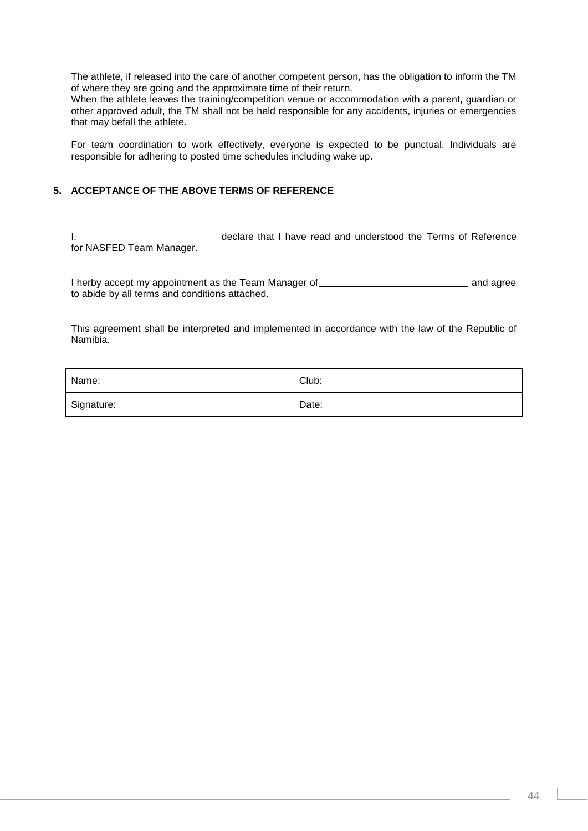The athlete, if released into the care of another competent person, has the obligation to inform the TM of where they are going and the approximate time of their return.

When the athlete leaves the training/competition venue or accommodation with a parent, guardian or other approved adult, the TM shall not be held responsible for any accidents, injuries or emergencies that may befall the athlete.

For team coordination to work effectively, everyone is expected to be punctual. Individuals are responsible for adhering to posted time schedules including wake up.

# **5. ACCEPTANCE OF THE ABOVE TERMS OF REFERENCE**

I, declare that I have read and understood the Terms of Reference for NASFED Team Manager.

I herby accept my appointment as the Team Manager of **Andrew Manager 1** and agree to abide by all terms and conditions attached.

This agreement shall be interpreted and implemented in accordance with the law of the Republic of Namibia.

| Name:      | Club: |
|------------|-------|
| Signature: | Date: |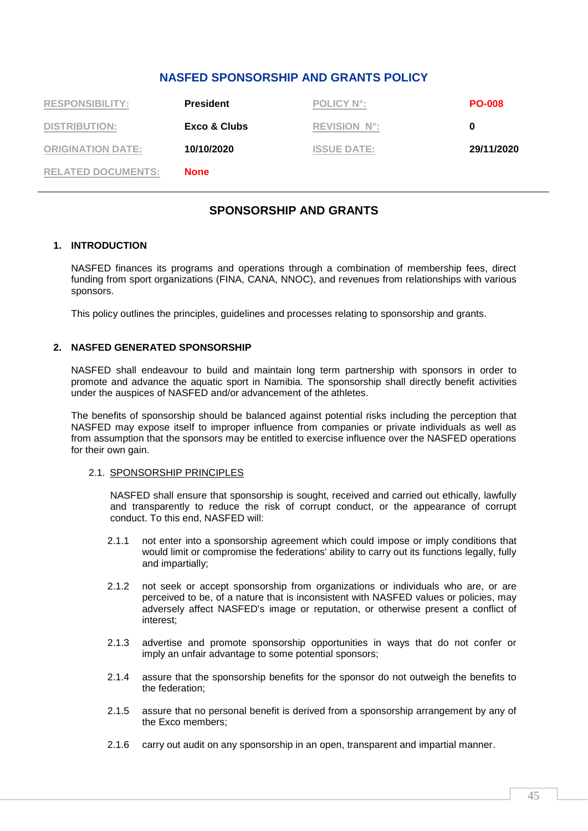# **NASFED SPONSORSHIP AND GRANTS POLICY**

| <b>RESPONSIBILITY:</b>    | President    | <b>POLICY N°:</b>   | <b>PO-008</b> |
|---------------------------|--------------|---------------------|---------------|
| <b>DISTRIBUTION:</b>      | Exco & Clubs | <b>REVISION N°:</b> |               |
| <b>ORIGINATION DATE:</b>  | 10/10/2020   | <b>ISSUE DATE:</b>  | 29/11/2020    |
| <b>RELATED DOCUMENTS:</b> | <b>None</b>  |                     |               |

# **SPONSORSHIP AND GRANTS**

# **1. INTRODUCTION**

NASFED finances its programs and operations through a combination of membership fees, direct funding from sport organizations (FINA, CANA, NNOC), and revenues from relationships with various sponsors.

This policy outlines the principles, guidelines and processes relating to sponsorship and grants.

# **2. NASFED GENERATED SPONSORSHIP**

NASFED shall endeavour to build and maintain long term partnership with sponsors in order to promote and advance the aquatic sport in Namibia. The sponsorship shall directly benefit activities under the auspices of NASFED and/or advancement of the athletes.

The benefits of sponsorship should be balanced against potential risks including the perception that NASFED may expose itself to improper influence from companies or private individuals as well as from assumption that the sponsors may be entitled to exercise influence over the NASFED operations for their own gain.

# 2.1. SPONSORSHIP PRINCIPLES

NASFED shall ensure that sponsorship is sought, received and carried out ethically, lawfully and transparently to reduce the risk of corrupt conduct, or the appearance of corrupt conduct. To this end, NASFED will:

- 2.1.1 not enter into a sponsorship agreement which could impose or imply conditions that would limit or compromise the federations' ability to carry out its functions legally, fully and impartially;
- 2.1.2 not seek or accept sponsorship from organizations or individuals who are, or are perceived to be, of a nature that is inconsistent with NASFED values or policies, may adversely affect NASFED's image or reputation, or otherwise present a conflict of interest;
- 2.1.3 advertise and promote sponsorship opportunities in ways that do not confer or imply an unfair advantage to some potential sponsors;
- 2.1.4 assure that the sponsorship benefits for the sponsor do not outweigh the benefits to the federation;
- 2.1.5 assure that no personal benefit is derived from a sponsorship arrangement by any of the Exco members;
- 2.1.6 carry out audit on any sponsorship in an open, transparent and impartial manner.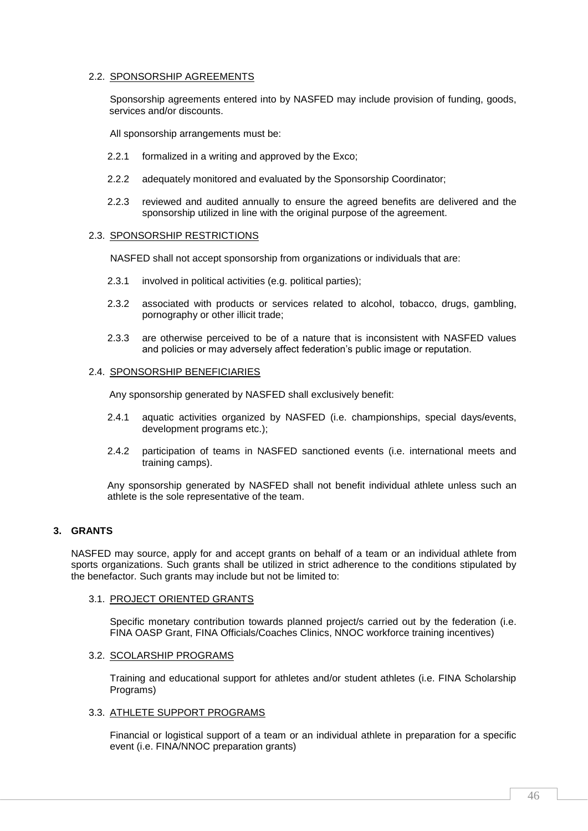# 2.2. SPONSORSHIP AGREEMENTS

Sponsorship agreements entered into by NASFED may include provision of funding, goods, services and/or discounts.

All sponsorship arrangements must be:

- 2.2.1 formalized in a writing and approved by the Exco;
- 2.2.2 adequately monitored and evaluated by the Sponsorship Coordinator:
- 2.2.3 reviewed and audited annually to ensure the agreed benefits are delivered and the sponsorship utilized in line with the original purpose of the agreement.

# 2.3. SPONSORSHIP RESTRICTIONS

NASFED shall not accept sponsorship from organizations or individuals that are:

- 2.3.1 involved in political activities (e.g. political parties);
- 2.3.2 associated with products or services related to alcohol, tobacco, drugs, gambling, pornography or other illicit trade;
- 2.3.3 are otherwise perceived to be of a nature that is inconsistent with NASFED values and policies or may adversely affect federation's public image or reputation.

# 2.4. SPONSORSHIP BENEFICIARIES

Any sponsorship generated by NASFED shall exclusively benefit:

- 2.4.1 aquatic activities organized by NASFED (i.e. championships, special days/events, development programs etc.);
- 2.4.2 participation of teams in NASFED sanctioned events (i.e. international meets and training camps).

Any sponsorship generated by NASFED shall not benefit individual athlete unless such an athlete is the sole representative of the team.

# **3. GRANTS**

NASFED may source, apply for and accept grants on behalf of a team or an individual athlete from sports organizations. Such grants shall be utilized in strict adherence to the conditions stipulated by the benefactor. Such grants may include but not be limited to:

# 3.1. PROJECT ORIENTED GRANTS

Specific monetary contribution towards planned project/s carried out by the federation (i.e. FINA OASP Grant, FINA Officials/Coaches Clinics, NNOC workforce training incentives)

# 3.2. SCOLARSHIP PROGRAMS

Training and educational support for athletes and/or student athletes (i.e. FINA Scholarship Programs)

# 3.3. ATHLETE SUPPORT PROGRAMS

Financial or logistical support of a team or an individual athlete in preparation for a specific event (i.e. FINA/NNOC preparation grants)